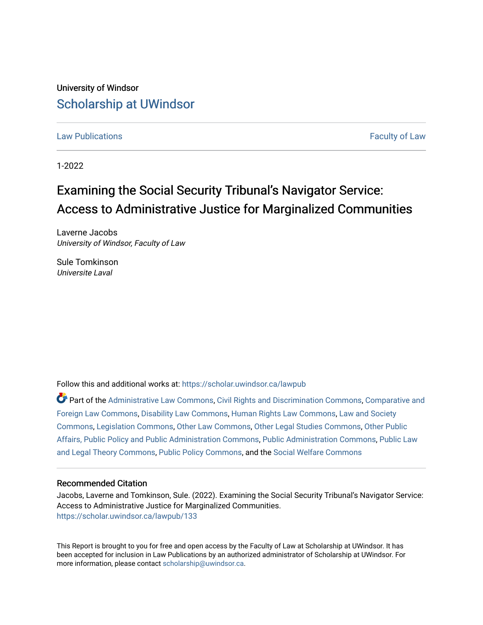University of Windsor [Scholarship at UWindsor](https://scholar.uwindsor.ca/) 

[Law Publications](https://scholar.uwindsor.ca/lawpub) [Faculty of Law](https://scholar.uwindsor.ca/law) 

1-2022

## Examining the Social Security Tribunal's Navigator Service: Access to Administrative Justice for Marginalized Communities

Laverne Jacobs University of Windsor, Faculty of Law

Sule Tomkinson Universite Laval

Follow this and additional works at: [https://scholar.uwindsor.ca/lawpub](https://scholar.uwindsor.ca/lawpub?utm_source=scholar.uwindsor.ca%2Flawpub%2F133&utm_medium=PDF&utm_campaign=PDFCoverPages) 

Part of the [Administrative Law Commons,](http://network.bepress.com/hgg/discipline/579?utm_source=scholar.uwindsor.ca%2Flawpub%2F133&utm_medium=PDF&utm_campaign=PDFCoverPages) [Civil Rights and Discrimination Commons,](http://network.bepress.com/hgg/discipline/585?utm_source=scholar.uwindsor.ca%2Flawpub%2F133&utm_medium=PDF&utm_campaign=PDFCoverPages) [Comparative and](http://network.bepress.com/hgg/discipline/836?utm_source=scholar.uwindsor.ca%2Flawpub%2F133&utm_medium=PDF&utm_campaign=PDFCoverPages)  [Foreign Law Commons,](http://network.bepress.com/hgg/discipline/836?utm_source=scholar.uwindsor.ca%2Flawpub%2F133&utm_medium=PDF&utm_campaign=PDFCoverPages) [Disability Law Commons,](http://network.bepress.com/hgg/discipline/1074?utm_source=scholar.uwindsor.ca%2Flawpub%2F133&utm_medium=PDF&utm_campaign=PDFCoverPages) [Human Rights Law Commons,](http://network.bepress.com/hgg/discipline/847?utm_source=scholar.uwindsor.ca%2Flawpub%2F133&utm_medium=PDF&utm_campaign=PDFCoverPages) [Law and Society](http://network.bepress.com/hgg/discipline/853?utm_source=scholar.uwindsor.ca%2Flawpub%2F133&utm_medium=PDF&utm_campaign=PDFCoverPages)  [Commons](http://network.bepress.com/hgg/discipline/853?utm_source=scholar.uwindsor.ca%2Flawpub%2F133&utm_medium=PDF&utm_campaign=PDFCoverPages), [Legislation Commons,](http://network.bepress.com/hgg/discipline/859?utm_source=scholar.uwindsor.ca%2Flawpub%2F133&utm_medium=PDF&utm_campaign=PDFCoverPages) [Other Law Commons,](http://network.bepress.com/hgg/discipline/621?utm_source=scholar.uwindsor.ca%2Flawpub%2F133&utm_medium=PDF&utm_campaign=PDFCoverPages) [Other Legal Studies Commons,](http://network.bepress.com/hgg/discipline/370?utm_source=scholar.uwindsor.ca%2Flawpub%2F133&utm_medium=PDF&utm_campaign=PDFCoverPages) [Other Public](http://network.bepress.com/hgg/discipline/403?utm_source=scholar.uwindsor.ca%2Flawpub%2F133&utm_medium=PDF&utm_campaign=PDFCoverPages) [Affairs, Public Policy and Public Administration Commons](http://network.bepress.com/hgg/discipline/403?utm_source=scholar.uwindsor.ca%2Flawpub%2F133&utm_medium=PDF&utm_campaign=PDFCoverPages), [Public Administration Commons,](http://network.bepress.com/hgg/discipline/398?utm_source=scholar.uwindsor.ca%2Flawpub%2F133&utm_medium=PDF&utm_campaign=PDFCoverPages) [Public Law](http://network.bepress.com/hgg/discipline/871?utm_source=scholar.uwindsor.ca%2Flawpub%2F133&utm_medium=PDF&utm_campaign=PDFCoverPages)  [and Legal Theory Commons,](http://network.bepress.com/hgg/discipline/871?utm_source=scholar.uwindsor.ca%2Flawpub%2F133&utm_medium=PDF&utm_campaign=PDFCoverPages) [Public Policy Commons,](http://network.bepress.com/hgg/discipline/400?utm_source=scholar.uwindsor.ca%2Flawpub%2F133&utm_medium=PDF&utm_campaign=PDFCoverPages) and the [Social Welfare Commons](http://network.bepress.com/hgg/discipline/401?utm_source=scholar.uwindsor.ca%2Flawpub%2F133&utm_medium=PDF&utm_campaign=PDFCoverPages) 

#### Recommended Citation

Jacobs, Laverne and Tomkinson, Sule. (2022). Examining the Social Security Tribunal's Navigator Service: Access to Administrative Justice for Marginalized Communities. [https://scholar.uwindsor.ca/lawpub/133](https://scholar.uwindsor.ca/lawpub/133?utm_source=scholar.uwindsor.ca%2Flawpub%2F133&utm_medium=PDF&utm_campaign=PDFCoverPages) 

This Report is brought to you for free and open access by the Faculty of Law at Scholarship at UWindsor. It has been accepted for inclusion in Law Publications by an authorized administrator of Scholarship at UWindsor. For more information, please contact [scholarship@uwindsor.ca](mailto:scholarship@uwindsor.ca).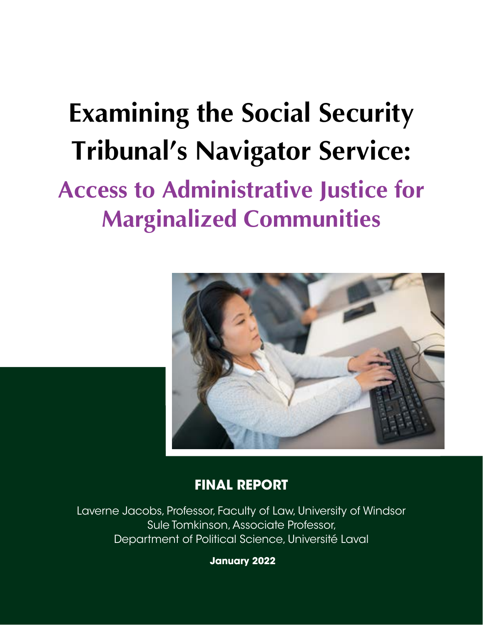# **Examining the Social Security Tribunal's Navigator Service: Access to Administrative Justice for Marginalized Communities**



## **FINAL REPORT**

Laverne Jacobs, Professor, Faculty of Law, University of Windsor Sule Tomkinson, Associate Professor, Department of Political Science, Université Laval

 **January 2022**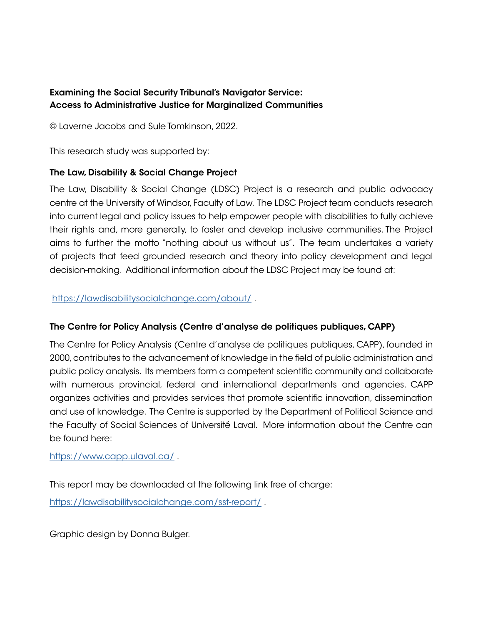## Examining the Social Security Tribunal's Navigator Service: Access to Administrative Justice for Marginalized Communities

© Laverne Jacobs and Sule Tomkinson, 2022.

This research study was supported by:

## The Law, Disability & Social Change Project

The Law, Disability & Social Change (LDSC) Project is a research and public advocacy centre at the University of Windsor, Faculty of Law. The LDSC Project team conducts research into current legal and policy issues to help empower people with disabilities to fully achieve their rights and, more generally, to foster and develop inclusive communities. The Project aims to further the motto "nothing about us without us". The team undertakes a variety of projects that feed grounded research and theory into policy development and legal decision-making. Additional information about the LDSC Project may be found at:

https://lawdisabilitysocialchange.com/about/.

## The Centre for Policy Analysis (Centre d'analyse de politiques publiques, CAPP)

The Centre for Policy Analysis (Centre d'analyse de politiques publiques, CAPP), founded in 2000, contributes to the advancement of knowledge in the field of public administration and public policy analysis. Its members form a competent scientific community and collaborate with numerous provincial, federal and international departments and agencies. CAPP organizes activities and provides services that promote scientific innovation, dissemination and use of knowledge. The Centre is supported by the Department of Political Science and the Faculty of Social Sciences of Université Laval. More information about the Centre can be found here:

<https://www.capp.ulaval.ca/> .

This report may be downloaded at the following link free of charge:

<https://lawdisabilitysocialchange.com/sst-report/>.

Graphic design by Donna Bulger.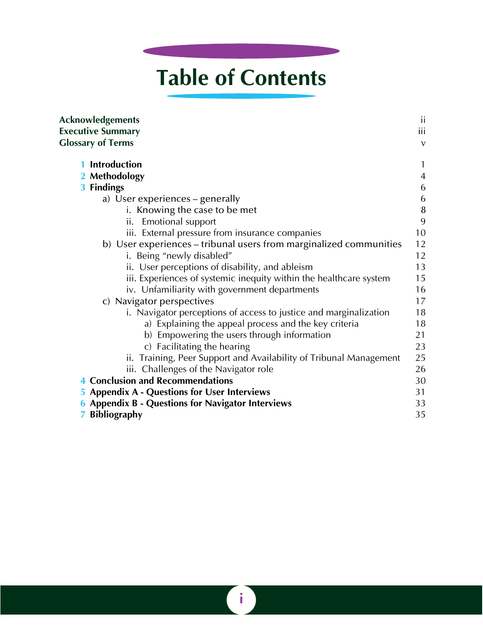## **Table of Contents**

| <b>Acknowledgements</b>                                            | ii             |
|--------------------------------------------------------------------|----------------|
| <b>Executive Summary</b>                                           | <b>iii</b>     |
| <b>Glossary of Terms</b>                                           | $\vee$         |
| <b>Introduction</b>                                                | 1              |
| 2 Methodology                                                      | $\overline{4}$ |
| 3 Findings                                                         | 6              |
| a) User experiences – generally                                    | 6              |
| i. Knowing the case to be met                                      | $\bf 8$        |
| <b>Emotional support</b><br>ii.                                    | 9              |
| iii. External pressure from insurance companies                    | 10             |
| b) User experiences – tribunal users from marginalized communities | 12             |
| i. Being "newly disabled"                                          | 12             |
| ii. User perceptions of disability, and ableism                    | 13             |
| iii. Experiences of systemic inequity within the healthcare system | 15             |
| iv. Unfamiliarity with government departments                      | 16             |
| c) Navigator perspectives                                          | 17             |
| i. Navigator perceptions of access to justice and marginalization  | 18             |
| a) Explaining the appeal process and the key criteria              | 18             |
| b) Empowering the users through information                        | 21             |
| c) Facilitating the hearing                                        | 23             |
| ii. Training, Peer Support and Availability of Tribunal Management | 25             |
| iii. Challenges of the Navigator role                              | 26             |
| <b>Conclusion and Recommendations</b>                              | 30             |
| <b>5 Appendix A - Questions for User Interviews</b>                | 31             |
| <b>6 Appendix B - Questions for Navigator Interviews</b>           | 33             |
| <b>7 Bibliography</b>                                              | 35             |

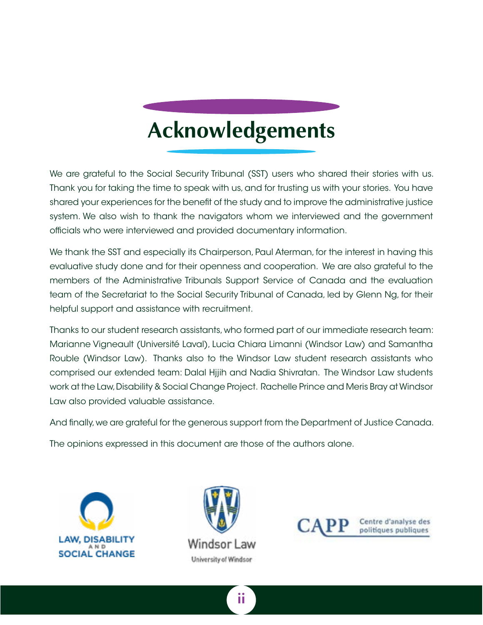## **Acknowledgements**

<span id="page-4-0"></span>We are grateful to the Social Security Tribunal (SST) users who shared their stories with us. Thank you for taking the time to speak with us, and for trusting us with your stories. You have shared your experiences for the benefit of the study and to improve the administrative justice system. We also wish to thank the navigators whom we interviewed and the government officials who were interviewed and provided documentary information.

We thank the SST and especially its Chairperson, Paul Aterman, for the interest in having this evaluative study done and for their openness and cooperation. We are also grateful to the members of the Administrative Tribunals Support Service of Canada and the evaluation team of the Secretariat to the Social Security Tribunal of Canada, led by Glenn Ng, for their helpful support and assistance with recruitment.

Thanks to our student research assistants, who formed part of our immediate research team: Marianne Vigneault (Université Laval), Lucia Chiara Limanni (Windsor Law) and Samantha Rouble (Windsor Law). Thanks also to the Windsor Law student research assistants who comprised our extended team: Dalal Hjjih and Nadia Shivratan. The Windsor Law students work at the Law, Disability & Social Change Project. Rachelle Prince and Meris Bray at Windsor Law also provided valuable assistance.

And finally, we are grateful for the generous support from the Department of Justice Canada.

The opinions expressed in this document are those of the authors alone.







Centre d'analyse des politiques publiques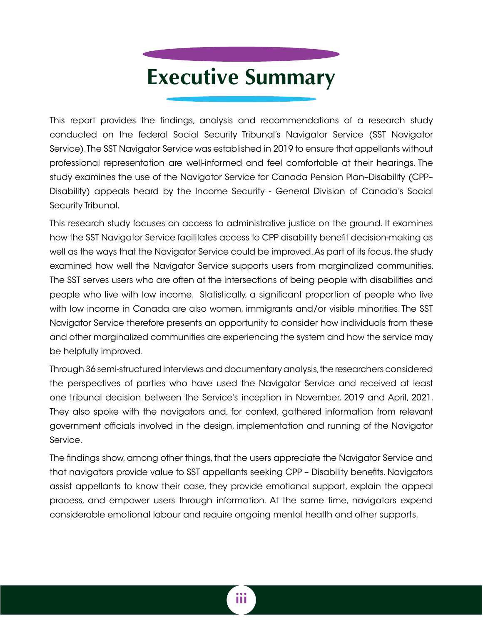## **Executive Summary**

<span id="page-5-0"></span>This report provides the findings, analysis and recommendations of a research study conducted on the federal Social Security Tribunal's Navigator Service (SST Navigator Service). The SST Navigator Service was established in 2019 to ensure that appellants without professional representation are well-informed and feel comfortable at their hearings. The study examines the use of the Navigator Service for Canada Pension Plan–Disability (CPP– Disability) appeals heard by the Income Security - General Division of Canada's Social Security Tribunal.

This research study focuses on access to administrative justice on the ground. It examines how the SST Navigator Service facilitates access to CPP disability benefit decision-making as well as the ways that the Navigator Service could be improved. As part of its focus, the study examined how well the Navigator Service supports users from marginalized communities. The SST serves users who are often at the intersections of being people with disabilities and people who live with low income. Statistically, a significant proportion of people who live with low income in Canada are also women, immigrants and/or visible minorities. The SST Navigator Service therefore presents an opportunity to consider how individuals from these and other marginalized communities are experiencing the system and how the service may be helpfully improved.

Through 36 semi-structured interviews and documentary analysis, the researchers considered the perspectives of parties who have used the Navigator Service and received at least one tribunal decision between the Service's inception in November, 2019 and April, 2021. They also spoke with the navigators and, for context, gathered information from relevant government officials involved in the design, implementation and running of the Navigator Service.

The findings show, among other things, that the users appreciate the Navigator Service and that navigators provide value to SST appellants seeking CPP – Disability benefits. Navigators assist appellants to know their case, they provide emotional support, explain the appeal process, and empower users through information. At the same time, navigators expend considerable emotional labour and require ongoing mental health and other supports.

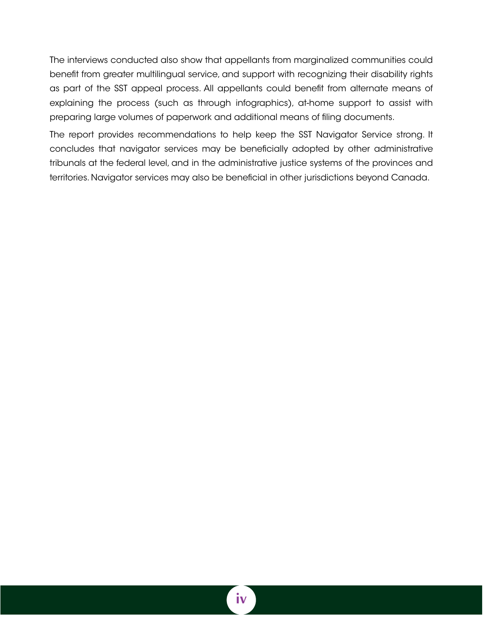The interviews conducted also show that appellants from marginalized communities could benefit from greater multilingual service, and support with recognizing their disability rights as part of the SST appeal process. All appellants could benefit from alternate means of explaining the process (such as through infographics), at-home support to assist with preparing large volumes of paperwork and additional means of filing documents.

The report provides recommendations to help keep the SST Navigator Service strong. It concludes that navigator services may be beneficially adopted by other administrative tribunals at the federal level, and in the administrative justice systems of the provinces and territories. Navigator services may also be beneficial in other jurisdictions beyond Canada.

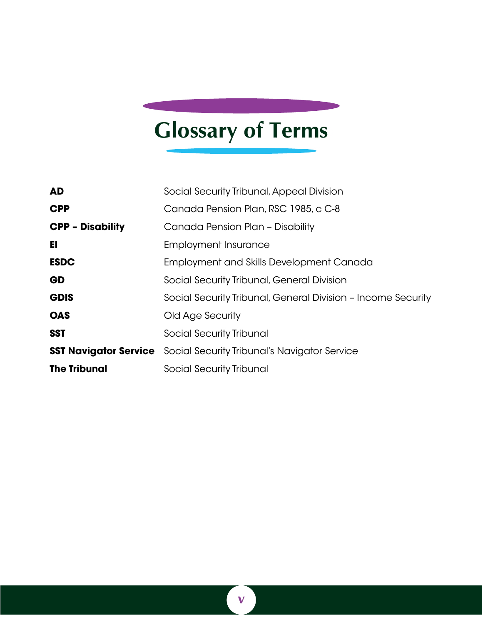## <span id="page-7-0"></span>**Glossary of Terms**

| <b>AD</b>                    | Social Security Tribunal, Appeal Division                    |
|------------------------------|--------------------------------------------------------------|
| <b>CPP</b>                   | Canada Pension Plan, RSC 1985, c C-8                         |
| <b>CPP - Disability</b>      | Canada Pension Plan - Disability                             |
| EI                           | <b>Employment Insurance</b>                                  |
| <b>ESDC</b>                  | <b>Employment and Skills Development Canada</b>              |
| GD                           | Social Security Tribunal, General Division                   |
| <b>GDIS</b>                  | Social Security Tribunal, General Division - Income Security |
| <b>OAS</b>                   | Old Age Security                                             |
| <b>SST</b>                   | Social Security Tribunal                                     |
| <b>SST Navigator Service</b> | Social Security Tribunal's Navigator Service                 |
| <b>The Tribunal</b>          | Social Security Tribunal                                     |

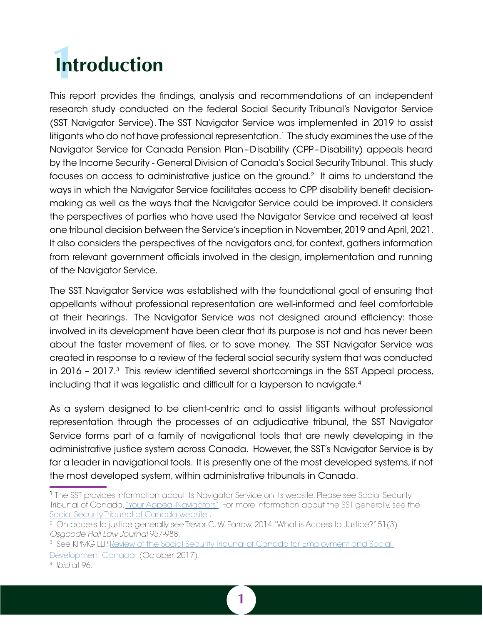# <span id="page-8-0"></span>**Introduction**

This report provides the findings, analysis and recommendations of an independent research study conducted on the federal Social Security Tribunal's Navigator Service (SST Navigator Service). The SST Navigator Service was implemented in 2019 to assist litigants who do not have professional representation.<sup>1</sup> The study examines the use of the Navigator Service for Canada Pension Plan–Disability (CPP–Disability) appeals heard by the Income Security - General Division of Canada's Social Security Tribunal. This study focuses on access to administrative justice on the ground.<sup>2</sup> It aims to understand the ways in which the Navigator Service facilitates access to CPP disability benefit decisionmaking as well as the ways that the Navigator Service could be improved. It considers the perspectives of parties who have used the Navigator Service and received at least one tribunal decision between the Service's inception in November, 2019 and April, 2021. It also considers the perspectives of the navigators and, for context, gathers information from relevant government officials involved in the design, implementation and running of the Navigator Service.

The SST Navigator Service was established with the foundational goal of ensuring that appellants without professional representation are well-informed and feel comfortable at their hearings. The Navigator Service was not designed around efficiency: those involved in its development have been clear that its purpose is not and has never been about the faster movement of files, or to save money. The SST Navigator Service was created in response to a review of the federal social security system that was conducted in 2016 – 2017. $3$  This review identified several shortcomings in the SST Appeal process, including that it was legalistic and difficult for a layperson to navigate.<sup>4</sup>

As a system designed to be client-centric and to assist litigants without professional representation through the processes of an adjudicative tribunal, the SST Navigator Service forms part of a family of navigational tools that are newly developing in the administrative justice system across Canada. However, the SST's Navigator Service is by far a leader in navigational tools. It is presently one of the most developed systems, if not the most developed system, within administrative tribunals in Canada.



<sup>&</sup>lt;sup>1</sup> The SST provides information about its Navigator Service on its website. Please see Social Security Tribunal of Canada, ["Your Appeal-Navigators"](https://www.sst-tss.gc.ca/en/your-appeal/navigators). For more information about the SST generally, see the Social Security Tribunal of Canada website

<sup>2</sup> On access to justice generally see Trevor C. W. Farrow, 2014."What is Access to Justice?" 51(3) *Osgoode Hall Law Journal* 957-988.

<sup>&</sup>lt;sup>3</sup> See KPMG LLP, <u>Review of the Social Security Tribunal of Canada for Employment and Social I</u> [Development Canada](https://www.canada.ca/content/dam/esdc-edsc/documents/corporate/reports/evaluations/social-security-tribunal-review/Review-of-the-SST-AF-EN.pdf) (October, 2017).

<sup>4</sup> *Ibid* at 96.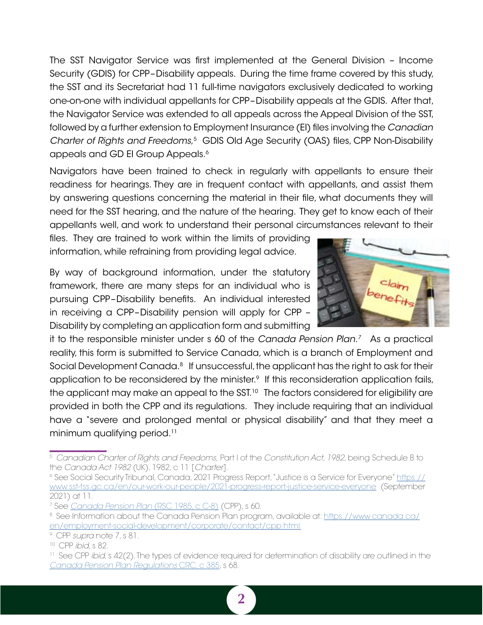The SST Navigator Service was first implemented at the General Division – Income Security (GDIS) for CPP–Disability appeals. During the time frame covered by this study, the SST and its Secretariat had 11 full-time navigators exclusively dedicated to working one-on-one with individual appellants for CPP–Disability appeals at the GDIS. After that, the Navigator Service was extended to all appeals across the Appeal Division of the SST, followed by a further extension to Employment Insurance (EI) files involving the *Canadian Charter of Rights and Freedoms*, 5 GDIS Old Age Security (OAS) files, CPP Non-Disability appeals and GD EI Group Appeals.<sup>6</sup>

Navigators have been trained to check in regularly with appellants to ensure their readiness for hearings. They are in frequent contact with appellants, and assist them by answering questions concerning the material in their file, what documents they will need for the SST hearing, and the nature of the hearing. They get to know each of their appellants well, and work to understand their personal circumstances relevant to their

files. They are trained to work within the limits of providing information, while refraining from providing legal advice.

By way of background information, under the statutory framework, there are many steps for an individual who is pursuing CPP–Disability benefits. An individual interested in receiving a CPP–Disability pension will apply for CPP – Disability by completing an application form and submitting



it to the responsible minister under s 60 of the *Canada Pension Plan.7* As a practical reality, this form is submitted to Service Canada, which is a branch of Employment and Social Development Canada.<sup>8</sup> If unsuccessful, the applicant has the right to ask for their application to be reconsidered by the minister.<sup>9</sup> If this reconsideration application fails, the applicant may make an appeal to the  $SST<sup>10</sup>$  The factors considered for eligibility are provided in both the CPP and its regulations. They include requiring that an individual have a "severe and prolonged mental or physical disability" and that they meet a minimum qualifying period.<sup>11</sup>

<sup>5</sup> *Canadian Charter of Rights and Freedoms,* Part I of the *Constitution Act, 1982*, being Schedule B to the *Canada Act 1982* (UK), 1982, c 11 [*Charter*].

<sup>6</sup> See Social Security Tribunal, Canada, 2021 Progress Report, "Justice is a Service for Everyone" [https://](https://www.sst-tss.gc.ca/en/our-work-our-people/2021-progress-report-justice-service-everyone) [www.sst-tss.gc.ca/en/our-work-our-people/2021-progress-report-justice-service-everyone](https://www.sst-tss.gc.ca/en/our-work-our-people/2021-progress-report-justice-service-everyone) (September 2021) at 11.

<sup>7</sup> See *[Canada Pension Plan](https://laws-lois.justice.gc.ca/eng/acts/C-8/index.html)* (RSC 1985, c C-8) (CPP), s 60.

<sup>8</sup> See Information about the Canada Pension Plan program, available at: [https://www.canada.ca/](https://www.canada.ca/en/employment-social-development/corporate/contact/cpp.html) [en/employment-social-development/corporate/contact/cpp.html.](https://www.canada.ca/en/employment-social-development/corporate/contact/cpp.html)

<sup>9</sup> CPP *supra* note 7, s 81.

<sup>10</sup> CPP *ibid*, s 82.

<sup>11</sup> See CPP *ibid*, s 42(2). The types of evidence required for determination of disability are outlined in the *[Canada Pension Plan Regulations](https://laws-lois.justice.gc.ca/eng/regulations/C.R.C.,_c._385/index.html)* CRC, c 385, s 68.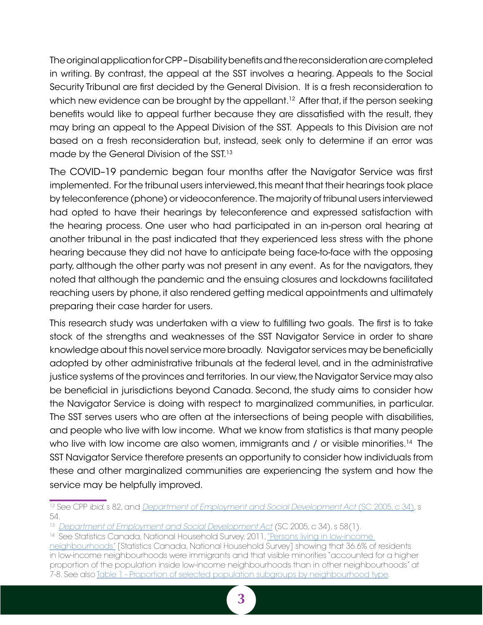The original application for CPP – Disability benefits and the reconsideration are completed in writing. By contrast, the appeal at the SST involves a hearing. Appeals to the Social Security Tribunal are first decided by the General Division. It is a fresh reconsideration to which new evidence can be brought by the appellant.<sup>12</sup> After that, if the person seeking benefits would like to appeal further because they are dissatisfied with the result, they may bring an appeal to the Appeal Division of the SST. Appeals to this Division are not based on a fresh reconsideration but, instead, seek only to determine if an error was made by the General Division of the SST.<sup>13</sup>

The COVID–19 pandemic began four months after the Navigator Service was first implemented. For the tribunal users interviewed, this meant that their hearings took place by teleconference (phone) or videoconference. The majority of tribunal users interviewed had opted to have their hearings by teleconference and expressed satisfaction with the hearing process. One user who had participated in an in-person oral hearing at another tribunal in the past indicated that they experienced less stress with the phone hearing because they did not have to anticipate being face-to-face with the opposing party, although the other party was not present in any event. As for the navigators, they noted that although the pandemic and the ensuing closures and lockdowns facilitated reaching users by phone, it also rendered getting medical appointments and ultimately preparing their case harder for users.

This research study was undertaken with a view to fulfilling two goals. The first is to take stock of the strengths and weaknesses of the SST Navigator Service in order to share knowledge about this novel service more broadly. Navigator services may be beneficially adopted by other administrative tribunals at the federal level, and in the administrative justice systems of the provinces and territories. In our view, the Navigator Service may also be beneficial in jurisdictions beyond Canada. Second, the study aims to consider how the Navigator Service is doing with respect to marginalized communities, in particular. The SST serves users who are often at the intersections of being people with disabilities, and people who live with low income. What we know from statistics is that many people who live with low income are also women, immigrants and / or visible minorities.<sup>14</sup> The SST Navigator Service therefore presents an opportunity to consider how individuals from these and other marginalized communities are experiencing the system and how the service may be helpfully improved.

<sup>12</sup> See CPP *ibid*, s 82, and *[Department of Employment and Social Development Act](https://laws-lois.justice.gc.ca/eng/acts/H-5.7/page-4.html#h-256363)* (SC 2005, c 34), s 54.

<sup>13</sup> *[Department of Employment and Social Development Act](https://laws-lois.justice.gc.ca/eng/acts/H-5.7/page-4.html#h-256363)* (SC 2005, c 34), s 58(1).

<sup>&</sup>lt;sup>14</sup> See Statistics Canada, National Household Survey, 2011, "Persons living in low-income

[neighbourhoods"](https://www12.statcan.gc.ca/nhs-enm/2011/as-sa/99-014-x/99-014-x2011003_3-eng.pdf) [Statistics Canada, National Household Survey] showing that 36.6% of residents in low-income neighbourhoods were immigrants and that visible minorities "accounted for a higher proportion of the population inside low-income neighbourhoods than in other neighbourhoods" at 7-8. See also [Table 1 - Proportion of selected population subgroups by neighbourhood type](https://www12.statcan.gc.ca/nhs-enm/2011/as-sa/99-014-x/2011003/tbl/tbl1_3-eng.cfm).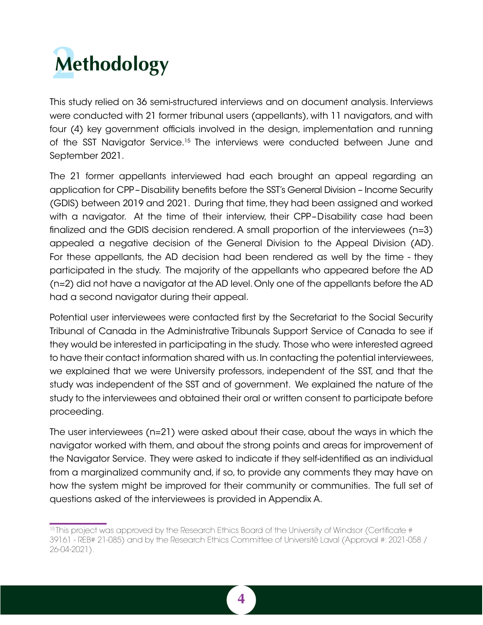<span id="page-11-0"></span>

This study relied on 36 semi-structured interviews and on document analysis. Interviews were conducted with 21 former tribunal users (appellants), with 11 navigators, and with four (4) key government officials involved in the design, implementation and running of the SST Navigator Service.15 The interviews were conducted between June and September 2021.

The 21 former appellants interviewed had each brought an appeal regarding an application for CPP–Disability benefits before the SST's General Division – Income Security (GDIS) between 2019 and 2021. During that time, they had been assigned and worked with a navigator. At the time of their interview, their CPP–Disability case had been finalized and the GDIS decision rendered. A small proportion of the interviewees (n=3) appealed a negative decision of the General Division to the Appeal Division (AD). For these appellants, the AD decision had been rendered as well by the time - they participated in the study. The majority of the appellants who appeared before the AD (n=2) did not have a navigator at the AD level. Only one of the appellants before the AD had a second navigator during their appeal.

Potential user interviewees were contacted first by the Secretariat to the Social Security Tribunal of Canada in the Administrative Tribunals Support Service of Canada to see if they would be interested in participating in the study. Those who were interested agreed to have their contact information shared with us. In contacting the potential interviewees, we explained that we were University professors, independent of the SST, and that the study was independent of the SST and of government. We explained the nature of the study to the interviewees and obtained their oral or written consent to participate before proceeding.

The user interviewees (n=21) were asked about their case, about the ways in which the navigator worked with them, and about the strong points and areas for improvement of the Navigator Service. They were asked to indicate if they self-identified as an individual from a marginalized community and, if so, to provide any comments they may have on how the system might be improved for their community or communities. The full set of questions asked of the interviewees is provided in Appendix A.



<sup>&</sup>lt;sup>15</sup> This project was approved by the Research Ethics Board of the University of Windsor (Certificate # 39161 - REB# 21-085) and by the Research Ethics Committee of Université Laval (Approval #: 2021-058 / 26-04-2021).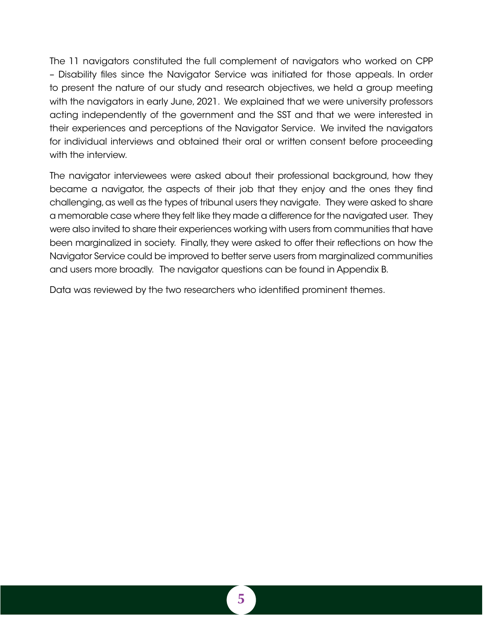The 11 navigators constituted the full complement of navigators who worked on CPP – Disability files since the Navigator Service was initiated for those appeals. In order to present the nature of our study and research objectives, we held a group meeting with the navigators in early June, 2021. We explained that we were university professors acting independently of the government and the SST and that we were interested in their experiences and perceptions of the Navigator Service. We invited the navigators for individual interviews and obtained their oral or written consent before proceeding with the interview.

The navigator interviewees were asked about their professional background, how they became a navigator, the aspects of their job that they enjoy and the ones they find challenging, as well as the types of tribunal users they navigate. They were asked to share a memorable case where they felt like they made a difference for the navigated user. They were also invited to share their experiences working with users from communities that have been marginalized in society. Finally, they were asked to offer their reflections on how the Navigator Service could be improved to better serve users from marginalized communities and users more broadly. The navigator questions can be found in Appendix B.

Data was reviewed by the two researchers who identified prominent themes.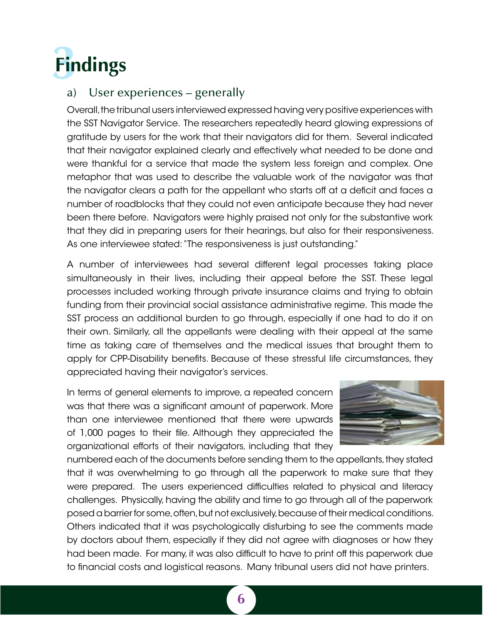<span id="page-13-0"></span>

## a) User experiences – generally

Overall, the tribunal users interviewed expressed having very positive experiences with the SST Navigator Service. The researchers repeatedly heard glowing expressions of gratitude by users for the work that their navigators did for them. Several indicated that their navigator explained clearly and effectively what needed to be done and were thankful for a service that made the system less foreign and complex. One metaphor that was used to describe the valuable work of the navigator was that the navigator clears a path for the appellant who starts off at a deficit and faces a number of roadblocks that they could not even anticipate because they had never been there before. Navigators were highly praised not only for the substantive work that they did in preparing users for their hearings, but also for their responsiveness. As one interviewee stated: "The responsiveness is just outstanding."

A number of interviewees had several different legal processes taking place simultaneously in their lives, including their appeal before the SST. These legal processes included working through private insurance claims and trying to obtain funding from their provincial social assistance administrative regime. This made the SST process an additional burden to go through, especially if one had to do it on their own. Similarly, all the appellants were dealing with their appeal at the same time as taking care of themselves and the medical issues that brought them to apply for CPP-Disability benefits. Because of these stressful life circumstances, they appreciated having their navigator's services.

In terms of general elements to improve, a repeated concern was that there was a significant amount of paperwork. More than one interviewee mentioned that there were upwards of 1,000 pages to their file. Although they appreciated the organizational efforts of their navigators, including that they



numbered each of the documents before sending them to the appellants, they stated that it was overwhelming to go through all the paperwork to make sure that they were prepared. The users experienced difficulties related to physical and literacy challenges. Physically, having the ability and time to go through all of the paperwork posed a barrier for some, often, but not exclusively, because of their medical conditions. Others indicated that it was psychologically disturbing to see the comments made by doctors about them, especially if they did not agree with diagnoses or how they had been made. For many, it was also difficult to have to print off this paperwork due to financial costs and logistical reasons. Many tribunal users did not have printers.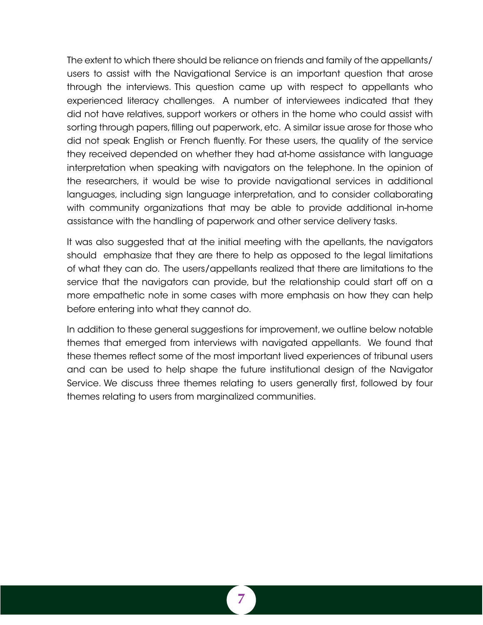The extent to which there should be reliance on friends and family of the appellants/ users to assist with the Navigational Service is an important question that arose through the interviews. This question came up with respect to appellants who experienced literacy challenges. A number of interviewees indicated that they did not have relatives, support workers or others in the home who could assist with sorting through papers, filling out paperwork, etc. A similar issue arose for those who did not speak English or French fluently. For these users, the quality of the service they received depended on whether they had at-home assistance with language interpretation when speaking with navigators on the telephone. In the opinion of the researchers, it would be wise to provide navigational services in additional languages, including sign language interpretation, and to consider collaborating with community organizations that may be able to provide additional in-home assistance with the handling of paperwork and other service delivery tasks.

It was also suggested that at the initial meeting with the apellants, the navigators should emphasize that they are there to help as opposed to the legal limitations of what they can do. The users/appellants realized that there are limitations to the service that the navigators can provide, but the relationship could start off on a more empathetic note in some cases with more emphasis on how they can help before entering into what they cannot do.

In addition to these general suggestions for improvement, we outline below notable themes that emerged from interviews with navigated appellants. We found that these themes reflect some of the most important lived experiences of tribunal users and can be used to help shape the future institutional design of the Navigator Service. We discuss three themes relating to users generally first, followed by four themes relating to users from marginalized communities.

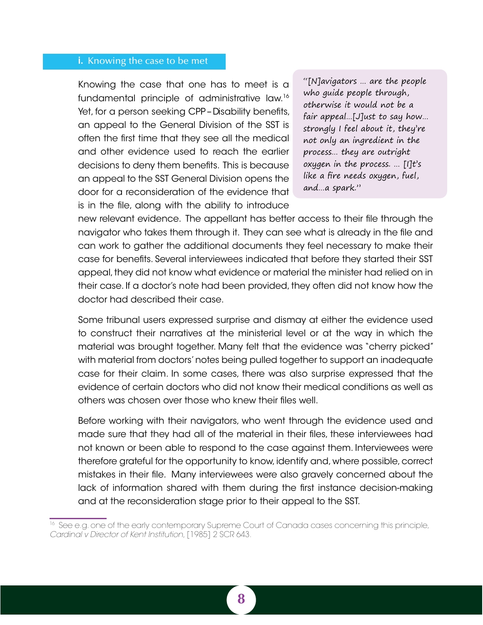#### <span id="page-15-0"></span>i. Knowing the case to be met

Knowing the case that one has to meet is a fundamental principle of administrative law.16 Yet, for a person seeking CPP – Disability benefits, an appeal to the General Division of the SST is often the first time that they see all the medical and other evidence used to reach the earlier decisions to deny them benefits. This is because an appeal to the SST General Division opens the door for a reconsideration of the evidence that is in the file, along with the ability to introduce

"[N]avigators … are the people who guide people through, otherwise it would not be a fair appeal…[J]ust to say how… strongly I feel about it, they're not only an ingredient in the process… they are outright oxygen in the process. … [I]t's like a fire needs oxygen, fuel, and…a spark."

new relevant evidence. The appellant has better access to their file through the navigator who takes them through it. They can see what is already in the file and can work to gather the additional documents they feel necessary to make their case for benefits. Several interviewees indicated that before they started their SST appeal, they did not know what evidence or material the minister had relied on in their case. If a doctor's note had been provided, they often did not know how the doctor had described their case.

Some tribunal users expressed surprise and dismay at either the evidence used to construct their narratives at the ministerial level or at the way in which the material was brought together. Many felt that the evidence was "cherry picked" with material from doctors' notes being pulled together to support an inadequate case for their claim. In some cases, there was also surprise expressed that the evidence of certain doctors who did not know their medical conditions as well as others was chosen over those who knew their files well.

Before working with their navigators, who went through the evidence used and made sure that they had all of the material in their files, these interviewees had not known or been able to respond to the case against them. Interviewees were therefore grateful for the opportunity to know, identify and, where possible, correct mistakes in their file. Many interviewees were also gravely concerned about the lack of information shared with them during the first instance decision-making and at the reconsideration stage prior to their appeal to the SST.



<sup>&</sup>lt;sup>16</sup> See e.g. one of the early contemporary Supreme Court of Canada cases concerning this principle, *Cardinal v Director of Kent Institution*, [1985] 2 SCR 643.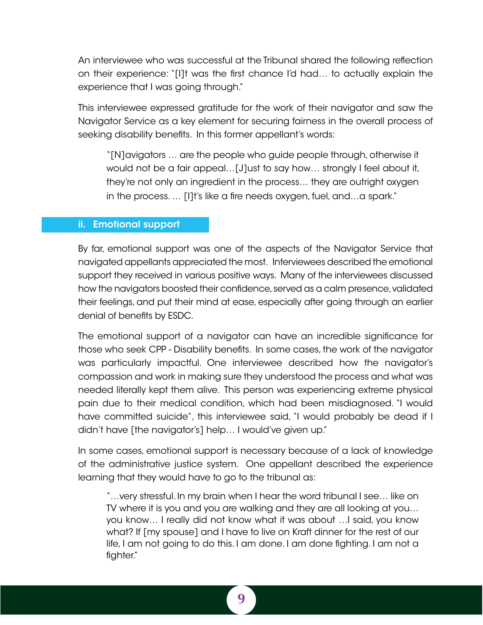<span id="page-16-0"></span>An interviewee who was successful at the Tribunal shared the following reflection on their experience: "[I]t was the first chance I'd had… to actually explain the experience that I was going through."

This interviewee expressed gratitude for the work of their navigator and saw the Navigator Service as a key element for securing fairness in the overall process of seeking disability benefits. In this former appellant's words:

"[N]avigators … are the people who guide people through, otherwise it would not be a fair appeal…[J]ust to say how… strongly I feel about it, they're not only an ingredient in the process… they are outright oxygen in the process. … [I]t's like a fire needs oxygen, fuel, and…a spark."

#### ii. Emotional support

By far, emotional support was one of the aspects of the Navigator Service that navigated appellants appreciated the most. Interviewees described the emotional support they received in various positive ways. Many of the interviewees discussed how the navigators boosted their confidence, served as a calm presence, validated their feelings, and put their mind at ease, especially after going through an earlier denial of benefits by ESDC.

The emotional support of a navigator can have an incredible significance for those who seek CPP - Disability benefits. In some cases, the work of the navigator was particularly impactful. One interviewee described how the navigator's compassion and work in making sure they understood the process and what was needed literally kept them alive. This person was experiencing extreme physical pain due to their medical condition, which had been misdiagnosed. "I would have committed suicide", this interviewee said, "I would probably be dead if I didn't have [the navigator's] help… I would've given up."

In some cases, emotional support is necessary because of a lack of knowledge of the administrative justice system. One appellant described the experience learning that they would have to go to the tribunal as:

"…very stressful. In my brain when I hear the word tribunal I see… like on TV where it is you and you are walking and they are all looking at you… you know… I really did not know what it was about …I said, you know what? If [my spouse] and I have to live on Kraft dinner for the rest of our life, I am not going to do this. I am done. I am done fighting. I am not a fighter."

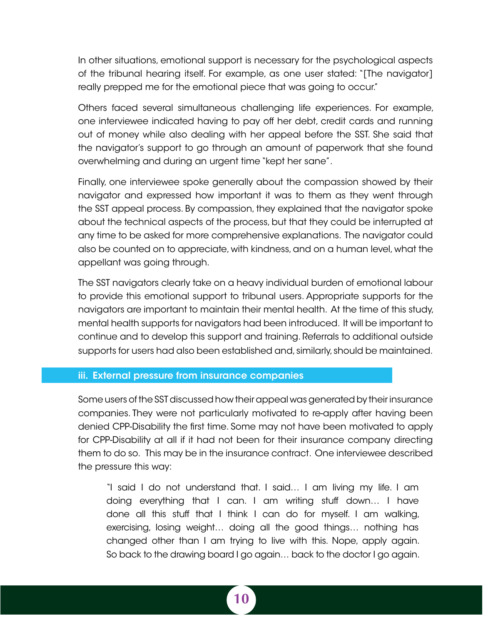<span id="page-17-0"></span>In other situations, emotional support is necessary for the psychological aspects of the tribunal hearing itself. For example, as one user stated: "[The navigator] really prepped me for the emotional piece that was going to occur."

Others faced several simultaneous challenging life experiences. For example, one interviewee indicated having to pay off her debt, credit cards and running out of money while also dealing with her appeal before the SST. She said that the navigator's support to go through an amount of paperwork that she found overwhelming and during an urgent time "kept her sane".

Finally, one interviewee spoke generally about the compassion showed by their navigator and expressed how important it was to them as they went through the SST appeal process. By compassion, they explained that the navigator spoke about the technical aspects of the process, but that they could be interrupted at any time to be asked for more comprehensive explanations. The navigator could also be counted on to appreciate, with kindness, and on a human level, what the appellant was going through.

The SST navigators clearly take on a heavy individual burden of emotional labour to provide this emotional support to tribunal users. Appropriate supports for the navigators are important to maintain their mental health. At the time of this study, mental health supports for navigators had been introduced. It will be important to continue and to develop this support and training. Referrals to additional outside supports for users had also been established and, similarly, should be maintained.

#### iii. External pressure from insurance companies

Some users of the SST discussed how their appeal was generated by their insurance companies. They were not particularly motivated to re-apply after having been denied CPP-Disability the first time. Some may not have been motivated to apply for CPP-Disability at all if it had not been for their insurance company directing them to do so. This may be in the insurance contract. One interviewee described the pressure this way:

"I said I do not understand that. I said… I am living my life. I am doing everything that I can. I am writing stuff down… I have done all this stuff that I think I can do for myself. I am walking, exercising, losing weight… doing all the good things… nothing has changed other than I am trying to live with this. Nope, apply again. So back to the drawing board I go again… back to the doctor I go again.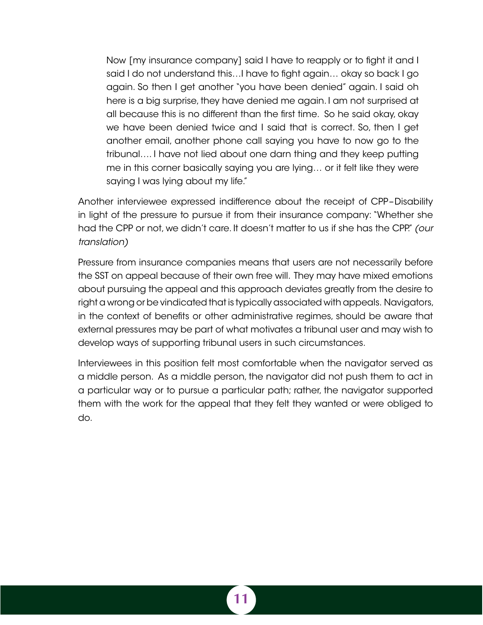Now [my insurance company] said I have to reapply or to fight it and I said I do not understand this…I have to fight again… okay so back I go again. So then I get another "you have been denied" again. I said oh here is a big surprise, they have denied me again. I am not surprised at all because this is no different than the first time. So he said okay, okay we have been denied twice and I said that is correct. So, then I get another email, another phone call saying you have to now go to the tribunal…. I have not lied about one darn thing and they keep putting me in this corner basically saying you are lying… or it felt like they were saying I was lying about my life."

Another interviewee expressed indifference about the receipt of CPP–Disability in light of the pressure to pursue it from their insurance company: "Whether she had the CPP or not, we didn't care. It doesn't matter to us if she has the CPP." *(our translation)*

Pressure from insurance companies means that users are not necessarily before the SST on appeal because of their own free will. They may have mixed emotions about pursuing the appeal and this approach deviates greatly from the desire to right a wrong or be vindicated that is typically associated with appeals. Navigators, in the context of benefits or other administrative regimes, should be aware that external pressures may be part of what motivates a tribunal user and may wish to develop ways of supporting tribunal users in such circumstances.

Interviewees in this position felt most comfortable when the navigator served as a middle person. As a middle person, the navigator did not push them to act in a particular way or to pursue a particular path; rather, the navigator supported them with the work for the appeal that they felt they wanted or were obliged to do.

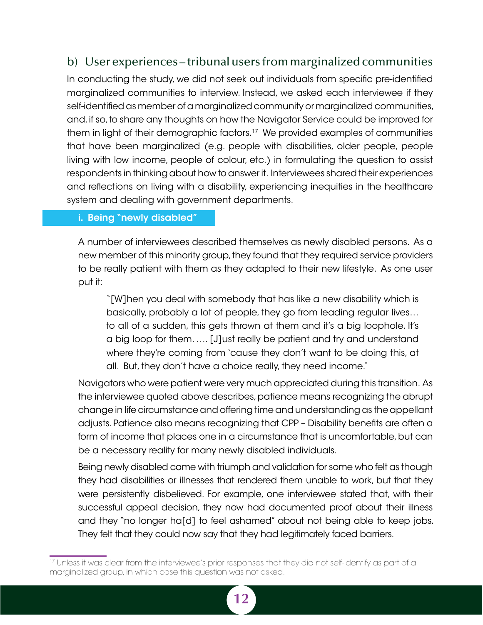## <span id="page-19-0"></span>b) User experiences – tribunal users from marginalized communities

In conducting the study, we did not seek out individuals from specific pre-identified marginalized communities to interview. Instead, we asked each interviewee if they self-identified as member of a marginalized community or marginalized communities, and, if so, to share any thoughts on how the Navigator Service could be improved for them in light of their demographic factors.17 We provided examples of communities that have been marginalized (e.g. people with disabilities, older people, people living with low income, people of colour, etc.) in formulating the question to assist respondents in thinking about how to answer it. Interviewees shared their experiences and reflections on living with a disability, experiencing inequities in the healthcare system and dealing with government departments.

## i. Being "newly disabled"

A number of interviewees described themselves as newly disabled persons. As a new member of this minority group, they found that they required service providers to be really patient with them as they adapted to their new lifestyle. As one user put it:

"[W]hen you deal with somebody that has like a new disability which is basically, probably a lot of people, they go from leading regular lives… to all of a sudden, this gets thrown at them and it's a big loophole. It's a big loop for them. …. [J]ust really be patient and try and understand where they're coming from 'cause they don't want to be doing this, at all. But, they don't have a choice really, they need income."

Navigators who were patient were very much appreciated during this transition. As the interviewee quoted above describes, patience means recognizing the abrupt change in life circumstance and offering time and understanding as the appellant adjusts. Patience also means recognizing that CPP – Disability benefits are often a form of income that places one in a circumstance that is uncomfortable, but can be a necessary reality for many newly disabled individuals.

Being newly disabled came with triumph and validation for some who felt as though they had disabilities or illnesses that rendered them unable to work, but that they were persistently disbelieved. For example, one interviewee stated that, with their successful appeal decision, they now had documented proof about their illness and they "no longer ha[d] to feel ashamed" about not being able to keep jobs. They felt that they could now say that they had legitimately faced barriers.

<sup>&</sup>lt;sup>17</sup> Unless it was clear from the interviewee's prior responses that they did not self-identify as part of a marginalized group, in which case this question was not asked.

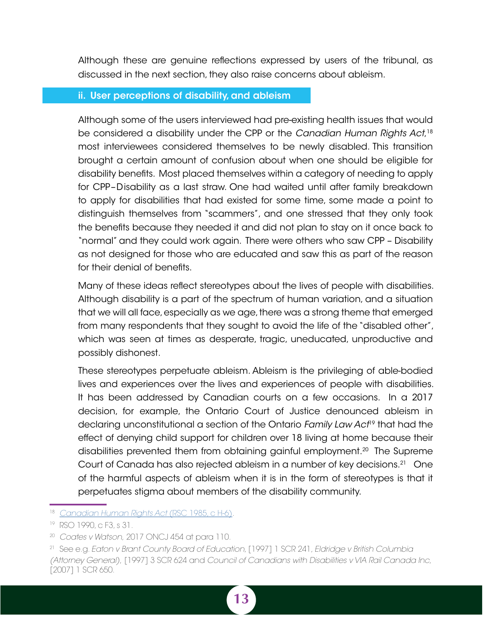<span id="page-20-0"></span>Although these are genuine reflections expressed by users of the tribunal, as discussed in the next section, they also raise concerns about ableism.

### ii. User perceptions of disability, and ableism

Although some of the users interviewed had pre-existing health issues that would be considered a disability under the CPP or the *Canadian Human Rights Act*, 18 most interviewees considered themselves to be newly disabled. This transition brought a certain amount of confusion about when one should be eligible for disability benefits. Most placed themselves within a category of needing to apply for CPP–Disability as a last straw. One had waited until after family breakdown to apply for disabilities that had existed for some time, some made a point to distinguish themselves from "scammers", and one stressed that they only took the benefits because they needed it and did not plan to stay on it once back to "normal" and they could work again. There were others who saw CPP – Disability as not designed for those who are educated and saw this as part of the reason for their denial of benefits.

Many of these ideas reflect stereotypes about the lives of people with disabilities. Although disability is a part of the spectrum of human variation, and a situation that we will all face, especially as we age, there was a strong theme that emerged from many respondents that they sought to avoid the life of the "disabled other", which was seen at times as desperate, tragic, uneducated, unproductive and possibly dishonest.

These stereotypes perpetuate ableism. Ableism is the privileging of able-bodied lives and experiences over the lives and experiences of people with disabilities. It has been addressed by Canadian courts on a few occasions. In a 2017 decision, for example, the Ontario Court of Justice denounced ableism in declaring unconstitutional a section of the Ontario *Family Law Act*19 that had the effect of denying child support for children over 18 living at home because their disabilities prevented them from obtaining gainful employment.<sup>20</sup> The Supreme Court of Canada has also rejected ableism in a number of key decisions.21 One of the harmful aspects of ableism when it is in the form of stereotypes is that it perpetuates stigma about members of the disability community.

<sup>18</sup> *[Canadian Human Rights Act](https://laws-lois.justice.gc.ca/eng/acts/H-6/)* (RSC 1985, c H-6).

<sup>19</sup> RSO 1990, c F3, s 31.

<sup>20</sup> *Coates v Watson,* 2017 ONCJ 454 at para 110.

<sup>21</sup> See e.g. *Eaton v Brant County Board of Education*, [1997] 1 SCR 241, *Eldridge v British Columbia (Attorney General)*, [1997] 3 SCR 624 and *Council of Canadians with Disabilities v VIA Rail Canada Inc*, [2007] 1 SCR 650.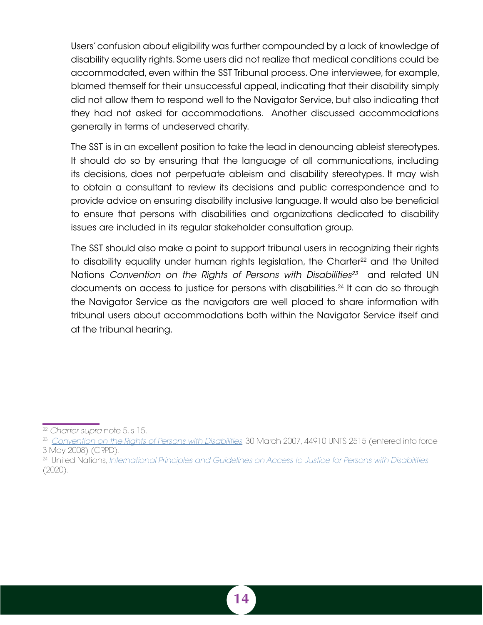Users' confusion about eligibility was further compounded by a lack of knowledge of disability equality rights. Some users did not realize that medical conditions could be accommodated, even within the SST Tribunal process. One interviewee, for example, blamed themself for their unsuccessful appeal, indicating that their disability simply did not allow them to respond well to the Navigator Service, but also indicating that they had not asked for accommodations. Another discussed accommodations generally in terms of undeserved charity.

The SST is in an excellent position to take the lead in denouncing ableist stereotypes. It should do so by ensuring that the language of all communications, including its decisions, does not perpetuate ableism and disability stereotypes. It may wish to obtain a consultant to review its decisions and public correspondence and to provide advice on ensuring disability inclusive language. It would also be beneficial to ensure that persons with disabilities and organizations dedicated to disability issues are included in its regular stakeholder consultation group.

The SST should also make a point to support tribunal users in recognizing their rights to disability equality under human rights legislation, the Charter<sup>22</sup> and the United Nations Convention on the Rights of Persons with Disabilities<sup>23</sup> and related UN documents on access to justice for persons with disabilities.<sup>24</sup> It can do so through the Navigator Service as the navigators are well placed to share information with tribunal users about accommodations both within the Navigator Service itself and at the tribunal hearing.



<sup>22</sup> *Charter supra* note 5, s 15.

<sup>23</sup> *[Convention on the Rights of Persons with Disabilities](https://www.ohchr.org/EN/HRBodies/CRPD/Pages/ConventionRightsPersonsWithDisabilities.aspx)*, 30 March 2007, 44910 UNTS 2515 (entered into force 3 May 2008) (CRPD).

<sup>24</sup> United Nations, *[International Principles and Guidelines on Access to Justice for Persons with Disabilities](https://www.ohchr.org/EN/Issues/Disability/SRDisabilities/Pages/GoodPracticesEffectiveAccessJusticePersonsDisabilities.aspx)* (2020).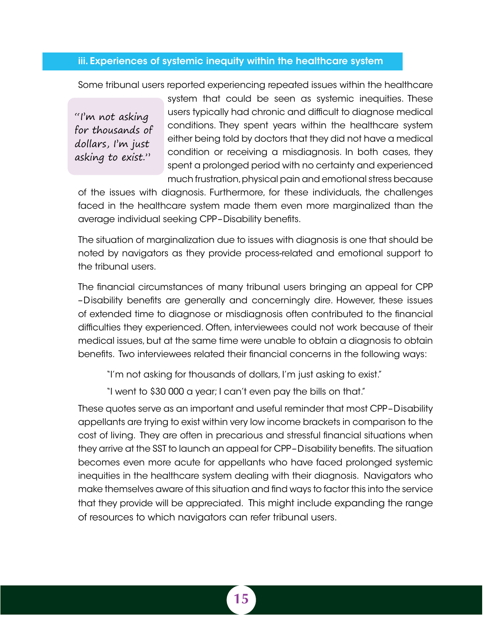### <span id="page-22-0"></span>iii. Experiences of systemic inequity within the healthcare system

Some tribunal users reported experiencing repeated issues within the healthcare

"I'm not asking for thousands of dollars, I'm just asking to exist."

system that could be seen as systemic inequities. These users typically had chronic and difficult to diagnose medical conditions. They spent years within the healthcare system either being told by doctors that they did not have a medical condition or receiving a misdiagnosis. In both cases, they spent a prolonged period with no certainty and experienced much frustration, physical pain and emotional stress because

of the issues with diagnosis. Furthermore, for these individuals, the challenges faced in the healthcare system made them even more marginalized than the average individual seeking CPP–Disability benefits.

The situation of marginalization due to issues with diagnosis is one that should be noted by navigators as they provide process-related and emotional support to the tribunal users.

The financial circumstances of many tribunal users bringing an appeal for CPP –Disability benefits are generally and concerningly dire. However, these issues of extended time to diagnose or misdiagnosis often contributed to the financial difficulties they experienced. Often, interviewees could not work because of their medical issues, but at the same time were unable to obtain a diagnosis to obtain benefits. Two interviewees related their financial concerns in the following ways:

"I'm not asking for thousands of dollars, I'm just asking to exist."

"I went to \$30 000 a year; I can't even pay the bills on that."

These quotes serve as an important and useful reminder that most CPP–Disability appellants are trying to exist within very low income brackets in comparison to the cost of living. They are often in precarious and stressful financial situations when they arrive at the SST to launch an appeal for CPP–Disability benefits. The situation becomes even more acute for appellants who have faced prolonged systemic inequities in the healthcare system dealing with their diagnosis. Navigators who make themselves aware of this situation and find ways to factor this into the service that they provide will be appreciated. This might include expanding the range of resources to which navigators can refer tribunal users.

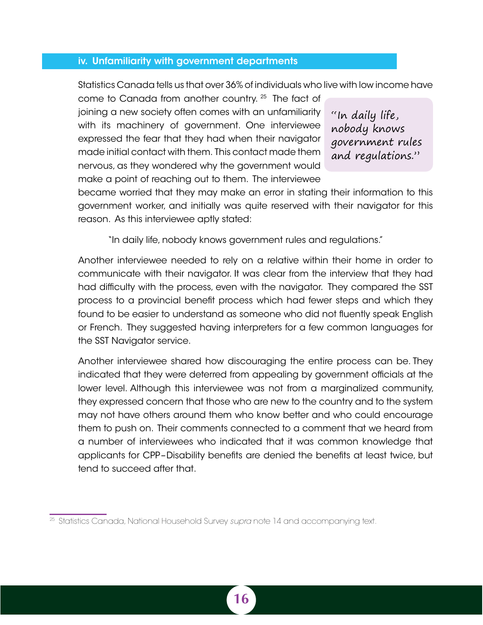### <span id="page-23-0"></span>iv. Unfamiliarity with government departments

Statistics Canada tells us that over 36% of individuals who live with low income have

come to Canada from another country. 25 The fact of joining a new society often comes with an unfamiliarity with its machinery of government. One interviewee expressed the fear that they had when their navigator made initial contact with them. This contact made them nervous, as they wondered why the government would make a point of reaching out to them. The interviewee

"In daily life, nobody knows government rules and regulations."

became worried that they may make an error in stating their information to this government worker, and initially was quite reserved with their navigator for this reason. As this interviewee aptly stated:

"In daily life, nobody knows government rules and regulations."

Another interviewee needed to rely on a relative within their home in order to communicate with their navigator. It was clear from the interview that they had had difficulty with the process, even with the navigator. They compared the SST process to a provincial benefit process which had fewer steps and which they found to be easier to understand as someone who did not fluently speak English or French. They suggested having interpreters for a few common languages for the SST Navigator service.

Another interviewee shared how discouraging the entire process can be. They indicated that they were deterred from appealing by government officials at the lower level. Although this interviewee was not from a marginalized community, they expressed concern that those who are new to the country and to the system may not have others around them who know better and who could encourage them to push on. Their comments connected to a comment that we heard from a number of interviewees who indicated that it was common knowledge that applicants for CPP–Disability benefits are denied the benefits at least twice, but tend to succeed after that.

<sup>25</sup> Statistics Canada, National Household Survey *supra* note 14 and accompanying text.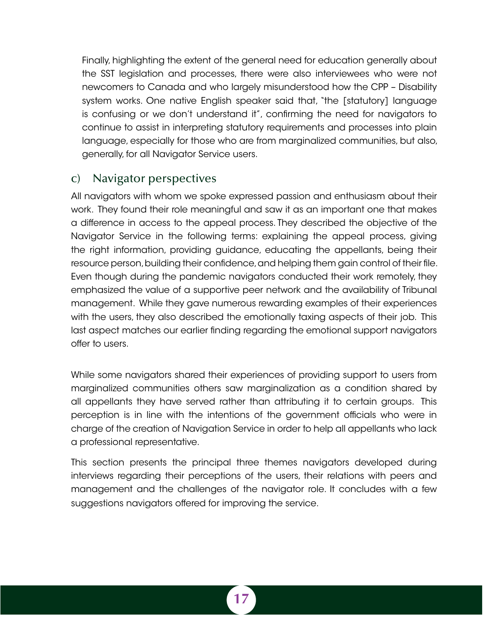<span id="page-24-0"></span>Finally, highlighting the extent of the general need for education generally about the SST legislation and processes, there were also interviewees who were not newcomers to Canada and who largely misunderstood how the CPP – Disability system works. One native English speaker said that, "the [statutory] language is confusing or we don't understand it", confirming the need for navigators to continue to assist in interpreting statutory requirements and processes into plain language, especially for those who are from marginalized communities, but also, generally, for all Navigator Service users.

## c) Navigator perspectives

All navigators with whom we spoke expressed passion and enthusiasm about their work. They found their role meaningful and saw it as an important one that makes a difference in access to the appeal process. They described the objective of the Navigator Service in the following terms: explaining the appeal process, giving the right information, providing guidance, educating the appellants, being their resource person, building their confidence, and helping them gain control of their file. Even though during the pandemic navigators conducted their work remotely, they emphasized the value of a supportive peer network and the availability of Tribunal management. While they gave numerous rewarding examples of their experiences with the users, they also described the emotionally taxing aspects of their job. This last aspect matches our earlier finding regarding the emotional support navigators offer to users.

While some navigators shared their experiences of providing support to users from marginalized communities others saw marginalization as a condition shared by all appellants they have served rather than attributing it to certain groups. This perception is in line with the intentions of the government officials who were in charge of the creation of Navigation Service in order to help all appellants who lack a professional representative.

This section presents the principal three themes navigators developed during interviews regarding their perceptions of the users, their relations with peers and management and the challenges of the navigator role. It concludes with a few suggestions navigators offered for improving the service.

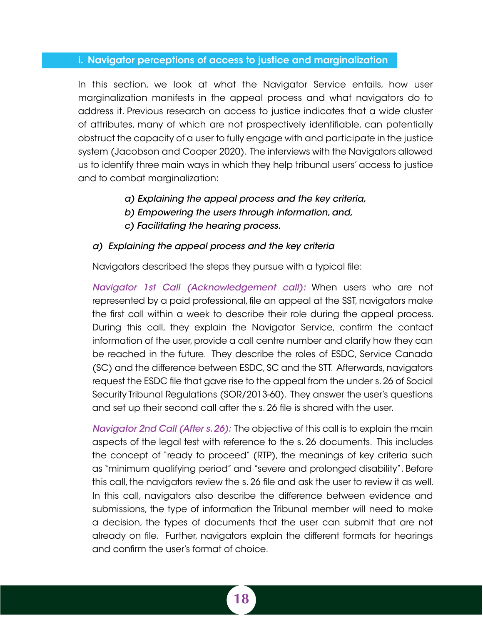### <span id="page-25-0"></span>i. Navigator perceptions of access to justice and marginalization

In this section, we look at what the Navigator Service entails, how user marginalization manifests in the appeal process and what navigators do to address it. Previous research on access to justice indicates that a wide cluster of attributes, many of which are not prospectively identifiable, can potentially obstruct the capacity of a user to fully engage with and participate in the justice system (Jacobson and Cooper 2020). The interviews with the Navigators allowed us to identify three main ways in which they help tribunal users' access to justice and to combat marginalization:

- *a) Explaining the appeal process and the key criteria,*
- *b) Empowering the users through information, and,*
- *c) Facilitating the hearing process.*

### *a) Explaining the appeal process and the key criteria*

Navigators described the steps they pursue with a typical file:

*Navigator 1st Call (Acknowledgement call):* When users who are not represented by a paid professional, file an appeal at the SST, navigators make the first call within a week to describe their role during the appeal process. During this call, they explain the Navigator Service, confirm the contact information of the user, provide a call centre number and clarify how they can be reached in the future. They describe the roles of ESDC, Service Canada (SC) and the difference between ESDC, SC and the STT. Afterwards, navigators request the ESDC file that gave rise to the appeal from the under s. 26 of Social Security Tribunal Regulations (SOR/2013-60). They answer the user's questions and set up their second call after the s. 26 file is shared with the user.

*Navigator 2nd Call (After s. 26):* The objective of this call is to explain the main aspects of the legal test with reference to the s. 26 documents. This includes the concept of "ready to proceed" (RTP), the meanings of key criteria such as "minimum qualifying period" and "severe and prolonged disability". Before this call, the navigators review the s. 26 file and ask the user to review it as well. In this call, navigators also describe the difference between evidence and submissions, the type of information the Tribunal member will need to make a decision, the types of documents that the user can submit that are not already on file. Further, navigators explain the different formats for hearings and confirm the user's format of choice.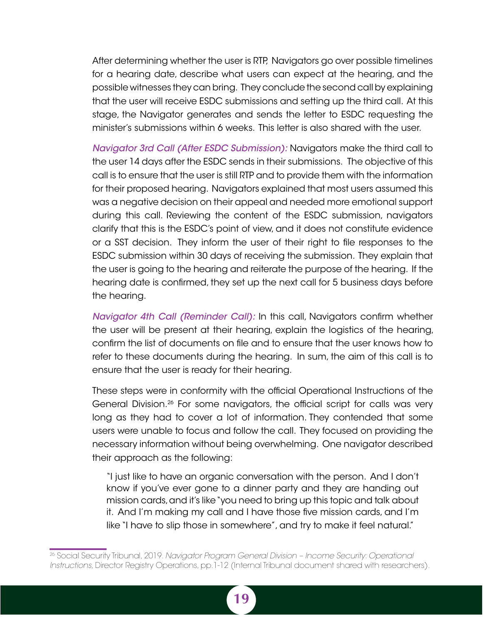After determining whether the user is RTP, Navigators go over possible timelines for a hearing date, describe what users can expect at the hearing, and the possible witnesses they can bring. They conclude the second call by explaining that the user will receive ESDC submissions and setting up the third call. At this stage, the Navigator generates and sends the letter to ESDC requesting the minister's submissions within 6 weeks. This letter is also shared with the user.

*Navigator 3rd Call (After ESDC Submission):* Navigators make the third call to the user 14 days after the ESDC sends in their submissions. The objective of this call is to ensure that the user is still RTP and to provide them with the information for their proposed hearing. Navigators explained that most users assumed this was a negative decision on their appeal and needed more emotional support during this call. Reviewing the content of the ESDC submission, navigators clarify that this is the ESDC's point of view, and it does not constitute evidence or a SST decision. They inform the user of their right to file responses to the ESDC submission within 30 days of receiving the submission. They explain that the user is going to the hearing and reiterate the purpose of the hearing. If the hearing date is confirmed, they set up the next call for 5 business days before the hearing.

*Navigator 4th Call (Reminder Call):* In this call, Navigators confirm whether the user will be present at their hearing, explain the logistics of the hearing, confirm the list of documents on file and to ensure that the user knows how to refer to these documents during the hearing. In sum, the aim of this call is to ensure that the user is ready for their hearing.

These steps were in conformity with the official Operational Instructions of the General Division.26 For some navigators, the official script for calls was very long as they had to cover a lot of information. They contended that some users were unable to focus and follow the call. They focused on providing the necessary information without being overwhelming. One navigator described their approach as the following:

"I just like to have an organic conversation with the person. And I don't know if you've ever gone to a dinner party and they are handing out mission cards, and it's like "you need to bring up this topic and talk about it. And I'm making my call and I have those five mission cards, and I'm like "I have to slip those in somewhere", and try to make it feel natural."

<sup>26</sup> Social Security Tribunal, 2019. *Navigator Program General Division – Income Security: Operational Instructions*, Director Registry Operations, pp.1-12 (Internal Tribunal document shared with researchers).

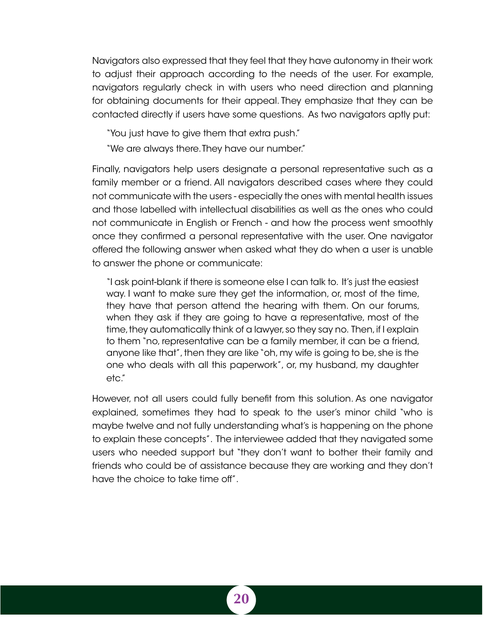Navigators also expressed that they feel that they have autonomy in their work to adjust their approach according to the needs of the user. For example, navigators regularly check in with users who need direction and planning for obtaining documents for their appeal. They emphasize that they can be contacted directly if users have some questions. As two navigators aptly put:

"You just have to give them that extra push."

"We are always there. They have our number."

Finally, navigators help users designate a personal representative such as a family member or a friend. All navigators described cases where they could not communicate with the users - especially the ones with mental health issues and those labelled with intellectual disabilities as well as the ones who could not communicate in English or French - and how the process went smoothly once they confirmed a personal representative with the user. One navigator offered the following answer when asked what they do when a user is unable to answer the phone or communicate:

"I ask point-blank if there is someone else I can talk to. It's just the easiest way. I want to make sure they get the information, or, most of the time, they have that person attend the hearing with them. On our forums, when they ask if they are going to have a representative, most of the time, they automatically think of a lawyer, so they say no. Then, if I explain to them "no, representative can be a family member, it can be a friend, anyone like that", then they are like "oh, my wife is going to be, she is the one who deals with all this paperwork", or, my husband, my daughter etc."

However, not all users could fully benefit from this solution. As one navigator explained, sometimes they had to speak to the user's minor child "who is maybe twelve and not fully understanding what's is happening on the phone to explain these concepts". The interviewee added that they navigated some users who needed support but "they don't want to bother their family and friends who could be of assistance because they are working and they don't have the choice to take time off".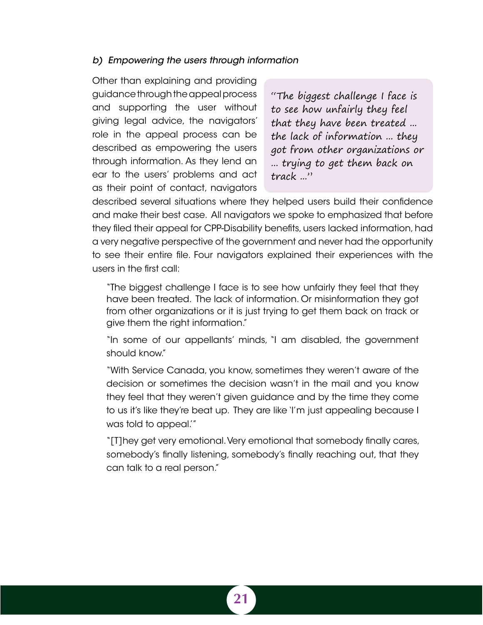### <span id="page-28-0"></span>*b) Empowering the users through information*

Other than explaining and providing guidance through the appeal process and supporting the user without giving legal advice, the navigators' role in the appeal process can be described as empowering the users through information. As they lend an ear to the users' problems and act as their point of contact, navigators

"The biggest challenge I face is to see how unfairly they feel that they have been treated ... the lack of information ... they got from other organizations or ... trying to get them back on track ..."

described several situations where they helped users build their confidence and make their best case. All navigators we spoke to emphasized that before they filed their appeal for CPP-Disability benefits, users lacked information, had a very negative perspective of the government and never had the opportunity to see their entire file. Four navigators explained their experiences with the users in the first call:

"The biggest challenge I face is to see how unfairly they feel that they have been treated. The lack of information. Or misinformation they got from other organizations or it is just trying to get them back on track or give them the right information."

"In some of our appellants' minds, "I am disabled, the government should know."

"With Service Canada, you know, sometimes they weren't aware of the decision or sometimes the decision wasn't in the mail and you know they feel that they weren't given guidance and by the time they come to us it's like they're beat up. They are like 'I'm just appealing because I was told to appeal.'"

"[T]hey get very emotional. Very emotional that somebody finally cares, somebody's finally listening, somebody's finally reaching out, that they can talk to a real person."

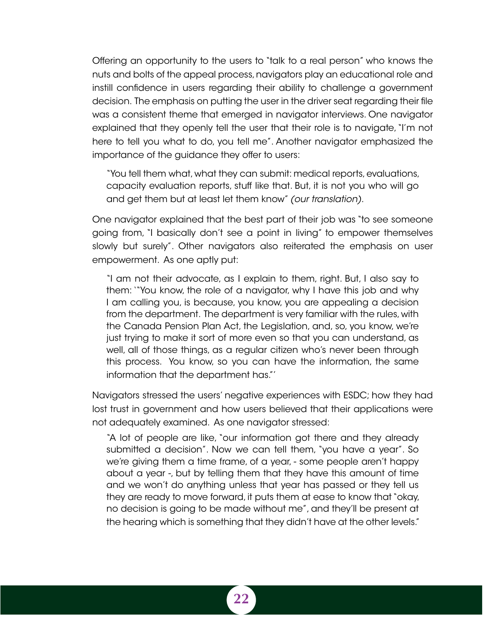Offering an opportunity to the users to "talk to a real person" who knows the nuts and bolts of the appeal process, navigators play an educational role and instill confidence in users regarding their ability to challenge a government decision. The emphasis on putting the user in the driver seat regarding their file was a consistent theme that emerged in navigator interviews. One navigator explained that they openly tell the user that their role is to navigate, "I'm not here to tell you what to do, you tell me". Another navigator emphasized the importance of the guidance they offer to users:

"You tell them what, what they can submit: medical reports, evaluations, capacity evaluation reports, stuff like that. But, it is not you who will go and get them but at least let them know" *(our translation)*.

One navigator explained that the best part of their job was "to see someone going from, "I basically don't see a point in living" to empower themselves slowly but surely". Other navigators also reiterated the emphasis on user empowerment. As one aptly put:

"I am not their advocate, as I explain to them, right. But, I also say to them: '"You know, the role of a navigator, why I have this job and why I am calling you, is because, you know, you are appealing a decision from the department. The department is very familiar with the rules, with the Canada Pension Plan Act, the Legislation, and, so, you know, we're just trying to make it sort of more even so that you can understand, as well, all of those things, as a regular citizen who's never been through this process. You know, so you can have the information, the same information that the department has."'

Navigators stressed the users' negative experiences with ESDC; how they had lost trust in government and how users believed that their applications were not adequately examined. As one navigator stressed:

"A lot of people are like, "our information got there and they already submitted a decision". Now we can tell them, "you have a year". So we're giving them a time frame, of a year, - some people aren't happy about a year -, but by telling them that they have this amount of time and we won't do anything unless that year has passed or they tell us they are ready to move forward, it puts them at ease to know that "okay, no decision is going to be made without me", and they'll be present at the hearing which is something that they didn't have at the other levels."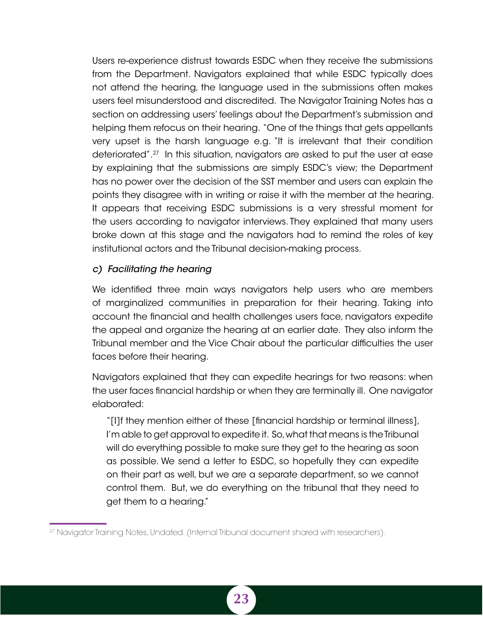<span id="page-30-0"></span>Users re-experience distrust towards ESDC when they receive the submissions from the Department. Navigators explained that while ESDC typically does not attend the hearing, the language used in the submissions often makes users feel misunderstood and discredited. The Navigator Training Notes has a section on addressing users' feelings about the Department's submission and helping them refocus on their hearing. "One of the things that gets appellants very upset is the harsh language e.g. "It is irrelevant that their condition deteriorated".27 In this situation, navigators are asked to put the user at ease by explaining that the submissions are simply ESDC's view; the Department has no power over the decision of the SST member and users can explain the points they disagree with in writing or raise it with the member at the hearing. It appears that receiving ESDC submissions is a very stressful moment for the users according to navigator interviews. They explained that many users broke down at this stage and the navigators had to remind the roles of key institutional actors and the Tribunal decision-making process.

## *c) Facilitating the hearing*

We identified three main ways navigators help users who are members of marginalized communities in preparation for their hearing. Taking into account the financial and health challenges users face, navigators expedite the appeal and organize the hearing at an earlier date. They also inform the Tribunal member and the Vice Chair about the particular difficulties the user faces before their hearing.

Navigators explained that they can expedite hearings for two reasons: when the user faces financial hardship or when they are terminally ill. One navigator elaborated:

"[I]f they mention either of these [financial hardship or terminal illness], I'm able to get approval to expedite it. So, what that means is the Tribunal will do everything possible to make sure they get to the hearing as soon as possible. We send a letter to ESDC, so hopefully they can expedite on their part as well, but we are a separate department, so we cannot control them. But, we do everything on the tribunal that they need to get them to a hearing."

<sup>27</sup> Navigator Training Notes, Undated. (Internal Tribunal document shared with researchers).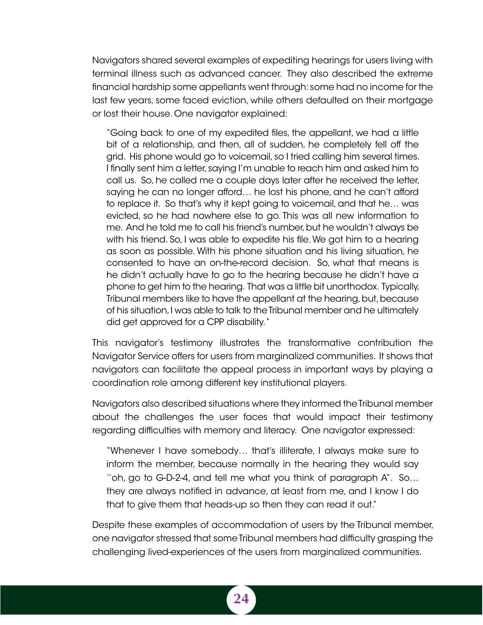Navigators shared several examples of expediting hearings for users living with terminal illness such as advanced cancer. They also described the extreme financial hardship some appellants went through: some had no income for the last few years, some faced eviction, while others defaulted on their mortgage or lost their house. One navigator explained:

"Going back to one of my expedited files, the appellant, we had a little bit of a relationship, and then, all of sudden, he completely fell off the grid. His phone would go to voicemail, so I tried calling him several times. I finally sent him a letter, saying I'm unable to reach him and asked him to call us. So, he called me a couple days later after he received the letter, saying he can no longer afford… he lost his phone, and he can't afford to replace it. So that's why it kept going to voicemail, and that he… was evicted, so he had nowhere else to go. This was all new information to me. And he told me to call his friend's number, but he wouldn't always be with his friend. So, I was able to expedite his file. We got him to a hearing as soon as possible. With his phone situation and his living situation, he consented to have an on-the-record decision. So, what that means is he didn't actually have to go to the hearing because he didn't have a phone to get him to the hearing. That was a little bit unorthodox. Typically, Tribunal members like to have the appellant at the hearing, but, because of his situation, I was able to talk to the Tribunal member and he ultimately did get approved for a CPP disability. "

This navigator's testimony illustrates the transformative contribution the Navigator Service offers for users from marginalized communities. It shows that navigators can facilitate the appeal process in important ways by playing a coordination role among different key institutional players.

Navigators also described situations where they informed the Tribunal member about the challenges the user faces that would impact their testimony regarding difficulties with memory and literacy. One navigator expressed:

"Whenever I have somebody… that's illiterate, I always make sure to inform the member, because normally in the hearing they would say ''oh, go to G-D-2-4, and tell me what you think of paragraph A''. So… they are always notified in advance, at least from me, and I know I do that to give them that heads-up so then they can read it out."

Despite these examples of accommodation of users by the Tribunal member, one navigator stressed that some Tribunal members had difficulty grasping the challenging lived-experiences of the users from marginalized communities.

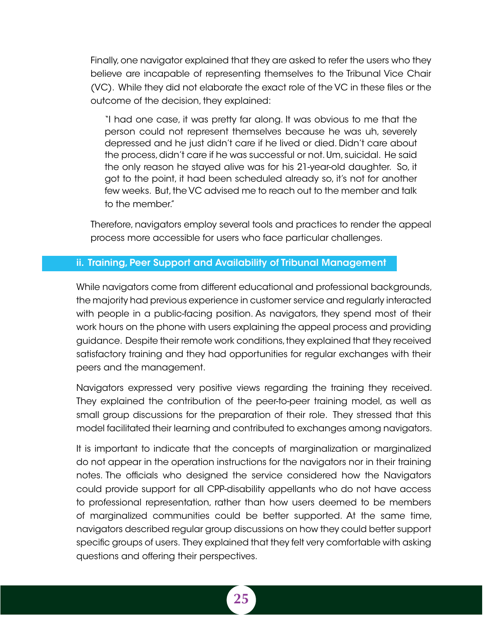<span id="page-32-0"></span>Finally, one navigator explained that they are asked to refer the users who they believe are incapable of representing themselves to the Tribunal Vice Chair (VC). While they did not elaborate the exact role of the VC in these files or the outcome of the decision, they explained:

"I had one case, it was pretty far along. It was obvious to me that the person could not represent themselves because he was uh, severely depressed and he just didn't care if he lived or died. Didn't care about the process, didn't care if he was successful or not. Um, suicidal. He said the only reason he stayed alive was for his 21-year-old daughter. So, it got to the point, it had been scheduled already so, it's not for another few weeks. But, the VC advised me to reach out to the member and talk to the member."

Therefore, navigators employ several tools and practices to render the appeal process more accessible for users who face particular challenges.

## ii. Training, Peer Support and Availability of Tribunal Management

While navigators come from different educational and professional backgrounds, the majority had previous experience in customer service and regularly interacted with people in a public-facing position. As navigators, they spend most of their work hours on the phone with users explaining the appeal process and providing guidance. Despite their remote work conditions, they explained that they received satisfactory training and they had opportunities for regular exchanges with their peers and the management.

Navigators expressed very positive views regarding the training they received. They explained the contribution of the peer-to-peer training model, as well as small group discussions for the preparation of their role. They stressed that this model facilitated their learning and contributed to exchanges among navigators.

It is important to indicate that the concepts of marginalization or marginalized do not appear in the operation instructions for the navigators nor in their training notes. The officials who designed the service considered how the Navigators could provide support for all CPP-disability appellants who do not have access to professional representation, rather than how users deemed to be members of marginalized communities could be better supported. At the same time, navigators described regular group discussions on how they could better support specific groups of users. They explained that they felt very comfortable with asking questions and offering their perspectives.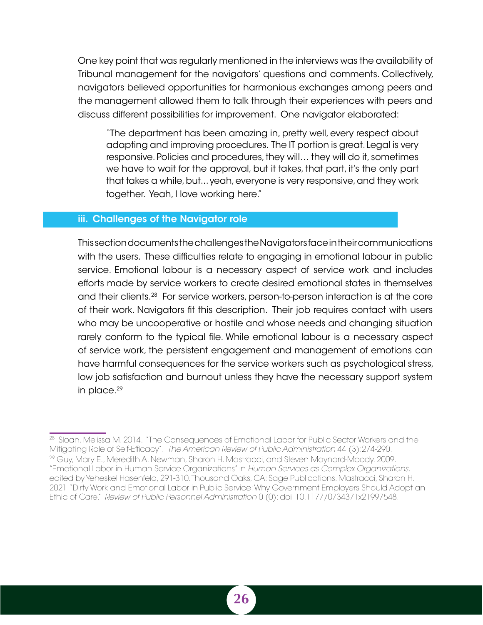<span id="page-33-0"></span>One key point that was regularly mentioned in the interviews was the availability of Tribunal management for the navigators' questions and comments. Collectively, navigators believed opportunities for harmonious exchanges among peers and the management allowed them to talk through their experiences with peers and discuss different possibilities for improvement. One navigator elaborated:

"The department has been amazing in, pretty well, every respect about adapting and improving procedures. The IT portion is great. Legal is very responsive. Policies and procedures, they will… they will do it, sometimes we have to wait for the approval, but it takes, that part, it's the only part that takes a while, but... yeah, everyone is very responsive, and they work together. Yeah, I love working here."

#### iii. Challenges of the Navigator role

This section documents the challenges the Navigators face in their communications with the users. These difficulties relate to engaging in emotional labour in public service. Emotional labour is a necessary aspect of service work and includes efforts made by service workers to create desired emotional states in themselves and their clients.28 For service workers, person-to-person interaction is at the core of their work. Navigators fit this description. Their job requires contact with users who may be uncooperative or hostile and whose needs and changing situation rarely conform to the typical file. While emotional labour is a necessary aspect of service work, the persistent engagement and management of emotions can have harmful consequences for the service workers such as psychological stress, low job satisfaction and burnout unless they have the necessary support system in place.<sup>29</sup>

<sup>28</sup> Sloan, Melissa M. 2014. "The Consequences of Emotional Labor for Public Sector Workers and the Mitigating Role of Self-Efficacy". *The American Review of Public Administration* 44 (3):274-290. <sup>29</sup> Guy, Mary E., Meredith A. Newman, Sharon H. Mastracci, and Steven Maynard-Moody. 2009. "Emotional Labor in Human Service Organizations" in *Human Services as Complex Organizations*, edited by Yeheskel Hasenfeld, 291-310. Thousand Oaks, CA: Sage Publications. Mastracci, Sharon H. 2021. "Dirty Work and Emotional Labor in Public Service: Why Government Employers Should Adopt an Ethic of Care." *Review of Public Personnel Administration* 0 (0): doi: 10.1177/0734371x21997548.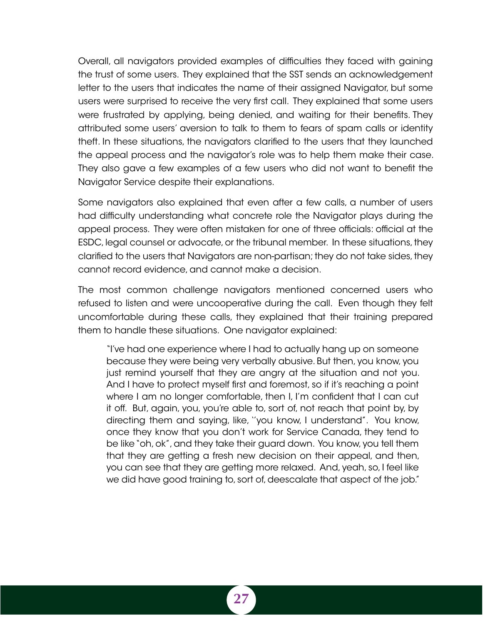Overall, all navigators provided examples of difficulties they faced with gaining the trust of some users. They explained that the SST sends an acknowledgement letter to the users that indicates the name of their assigned Navigator, but some users were surprised to receive the very first call. They explained that some users were frustrated by applying, being denied, and waiting for their benefits. They attributed some users' aversion to talk to them to fears of spam calls or identity theft. In these situations, the navigators clarified to the users that they launched the appeal process and the navigator's role was to help them make their case. They also gave a few examples of a few users who did not want to benefit the Navigator Service despite their explanations.

Some navigators also explained that even after a few calls, a number of users had difficulty understanding what concrete role the Navigator plays during the appeal process. They were often mistaken for one of three officials: official at the ESDC, legal counsel or advocate, or the tribunal member. In these situations, they clarified to the users that Navigators are non-partisan; they do not take sides, they cannot record evidence, and cannot make a decision.

The most common challenge navigators mentioned concerned users who refused to listen and were uncooperative during the call. Even though they felt uncomfortable during these calls, they explained that their training prepared them to handle these situations. One navigator explained:

"I've had one experience where I had to actually hang up on someone because they were being very verbally abusive. But then, you know, you just remind yourself that they are angry at the situation and not you. And I have to protect myself first and foremost, so if it's reaching a point where I am no longer comfortable, then I, I'm confident that I can cut it off. But, again, you, you're able to, sort of, not reach that point by, by directing them and saying, like, ''you know, I understand''. You know, once they know that you don't work for Service Canada, they tend to be like "oh, ok", and they take their guard down. You know, you tell them that they are getting a fresh new decision on their appeal, and then, you can see that they are getting more relaxed. And, yeah, so, I feel like we did have good training to, sort of, deescalate that aspect of the job."

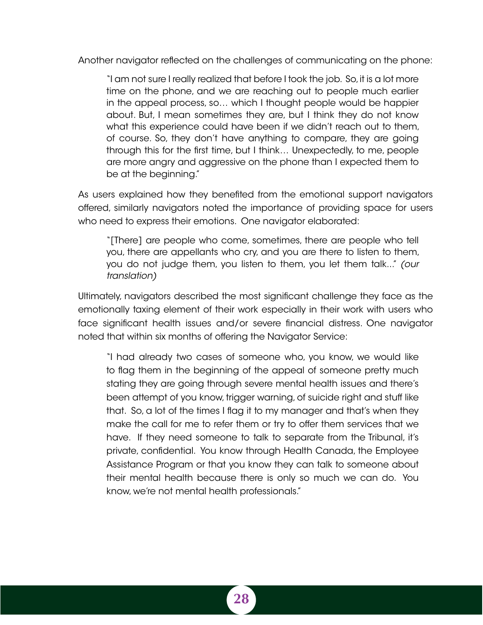Another navigator reflected on the challenges of communicating on the phone:

"I am not sure I really realized that before I took the job. So, it is a lot more time on the phone, and we are reaching out to people much earlier in the appeal process, so… which I thought people would be happier about. But, I mean sometimes they are, but I think they do not know what this experience could have been if we didn't reach out to them, of course. So, they don't have anything to compare, they are going through this for the first time, but I think… Unexpectedly, to me, people are more angry and aggressive on the phone than I expected them to be at the beginning."

As users explained how they benefited from the emotional support navigators offered, similarly navigators noted the importance of providing space for users who need to express their emotions. One navigator elaborated:

"[There] are people who come, sometimes, there are people who tell you, there are appellants who cry, and you are there to listen to them, you do not judge them, you listen to them, you let them talk..." *(our translation)*

Ultimately, navigators described the most significant challenge they face as the emotionally taxing element of their work especially in their work with users who face significant health issues and/or severe financial distress. One navigator noted that within six months of offering the Navigator Service:

"I had already two cases of someone who, you know, we would like to flag them in the beginning of the appeal of someone pretty much stating they are going through severe mental health issues and there's been attempt of you know, trigger warning, of suicide right and stuff like that. So, a lot of the times I flag it to my manager and that's when they make the call for me to refer them or try to offer them services that we have. If they need someone to talk to separate from the Tribunal, it's private, confidential. You know through Health Canada, the Employee Assistance Program or that you know they can talk to someone about their mental health because there is only so much we can do. You know, we're not mental health professionals."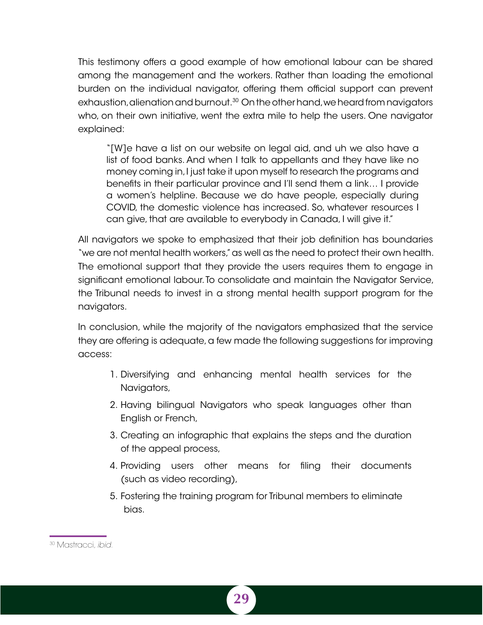This testimony offers a good example of how emotional labour can be shared among the management and the workers. Rather than loading the emotional burden on the individual navigator, offering them official support can prevent exhaustion, alienation and burnout.<sup>30</sup> On the other hand, we heard from navigators who, on their own initiative, went the extra mile to help the users. One navigator explained:

"[W]e have a list on our website on legal aid, and uh we also have a list of food banks. And when I talk to appellants and they have like no money coming in, I just take it upon myself to research the programs and benefits in their particular province and I'll send them a link… I provide a women's helpline. Because we do have people, especially during COVID, the domestic violence has increased. So, whatever resources I can give, that are available to everybody in Canada, I will give it."

All navigators we spoke to emphasized that their job definition has boundaries "we are not mental health workers," as well as the need to protect their own health. The emotional support that they provide the users requires them to engage in significant emotional labour. To consolidate and maintain the Navigator Service, the Tribunal needs to invest in a strong mental health support program for the navigators.

In conclusion, while the majority of the navigators emphasized that the service they are offering is adequate, a few made the following suggestions for improving access:

- 1. Diversifying and enhancing mental health services for the Navigators,
- 2. Having bilingual Navigators who speak languages other than English or French,
- 3. Creating an infographic that explains the steps and the duration of the appeal process,
- 4. Providing users other means for filing their documents (such as video recording),
- 5. Fostering the training program for Tribunal members to eliminate bias.

<sup>30</sup> Mastracci, *ibid*.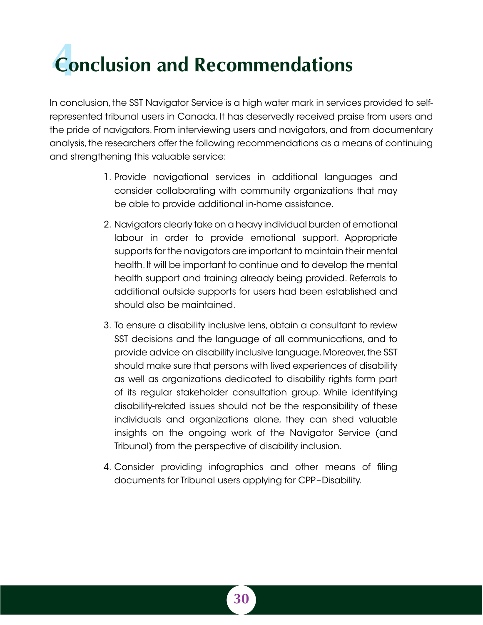# <span id="page-37-0"></span>*Conclusion and Recommendations*

In conclusion, the SST Navigator Service is a high water mark in services provided to selfrepresented tribunal users in Canada. It has deservedly received praise from users and the pride of navigators. From interviewing users and navigators, and from documentary analysis, the researchers offer the following recommendations as a means of continuing and strengthening this valuable service:

- 1. Provide navigational services in additional languages and consider collaborating with community organizations that may be able to provide additional in-home assistance.
- 2. Navigators clearly take on a heavy individual burden of emotional labour in order to provide emotional support. Appropriate supports for the navigators are important to maintain their mental health. It will be important to continue and to develop the mental health support and training already being provided. Referrals to additional outside supports for users had been established and should also be maintained.
- 3. To ensure a disability inclusive lens, obtain a consultant to review SST decisions and the language of all communications, and to provide advice on disability inclusive language. Moreover, the SST should make sure that persons with lived experiences of disability as well as organizations dedicated to disability rights form part of its regular stakeholder consultation group. While identifying disability-related issues should not be the responsibility of these individuals and organizations alone, they can shed valuable insights on the ongoing work of the Navigator Service (and Tribunal) from the perspective of disability inclusion.
- 4. Consider providing infographics and other means of filing documents for Tribunal users applying for CPP–Disability.

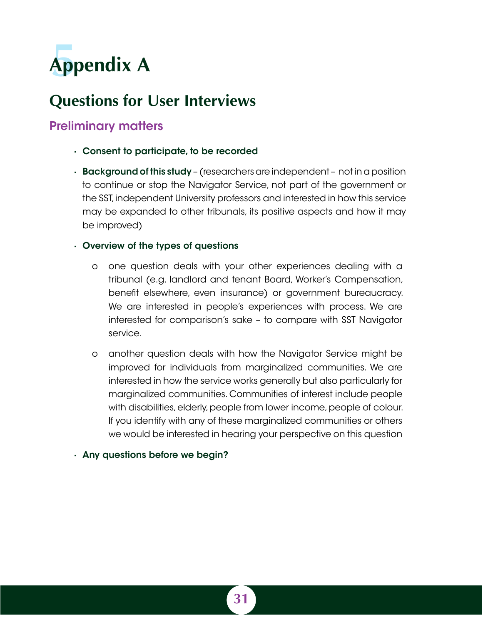<span id="page-38-0"></span>

## **Questions for User Interviews**

## Preliminary matters

- · Consent to participate, to be recorded
- · Background of this study (researchers are independent not in a position to continue or stop the Navigator Service, not part of the government or the SST, independent University professors and interested in how this service may be expanded to other tribunals, its positive aspects and how it may be improved)

## · Overview of the types of questions

- o one question deals with your other experiences dealing with a tribunal (e.g. landlord and tenant Board, Worker's Compensation, benefit elsewhere, even insurance) or government bureaucracy. We are interested in people's experiences with process. We are interested for comparison's sake – to compare with SST Navigator service.
- o another question deals with how the Navigator Service might be improved for individuals from marginalized communities. We are interested in how the service works generally but also particularly for marginalized communities. Communities of interest include people with disabilities, elderly, people from lower income, people of colour. If you identify with any of these marginalized communities or others we would be interested in hearing your perspective on this question

### · Any questions before we begin?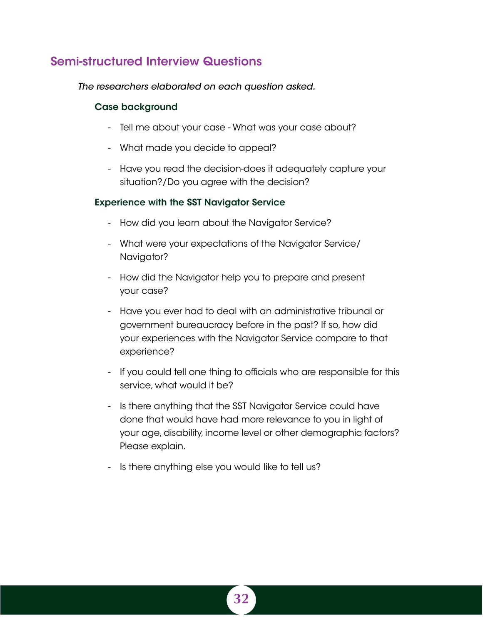## Semi-structured Interview Questions

*The researchers elaborated on each question asked.*

### Case background

- Tell me about your case What was your case about?
- What made you decide to appeal?
- Have you read the decision-does it adequately capture your situation?/Do you agree with the decision?

## Experience with the SST Navigator Service

- How did you learn about the Navigator Service?
- What were your expectations of the Navigator Service/ Navigator?
- How did the Navigator help you to prepare and present your case?
- Have you ever had to deal with an administrative tribunal or government bureaucracy before in the past? If so, how did your experiences with the Navigator Service compare to that experience?
- If you could tell one thing to officials who are responsible for this service, what would it be?
- Is there anything that the SST Navigator Service could have done that would have had more relevance to you in light of your age, disability, income level or other demographic factors? Please explain.
- Is there anything else you would like to tell us?

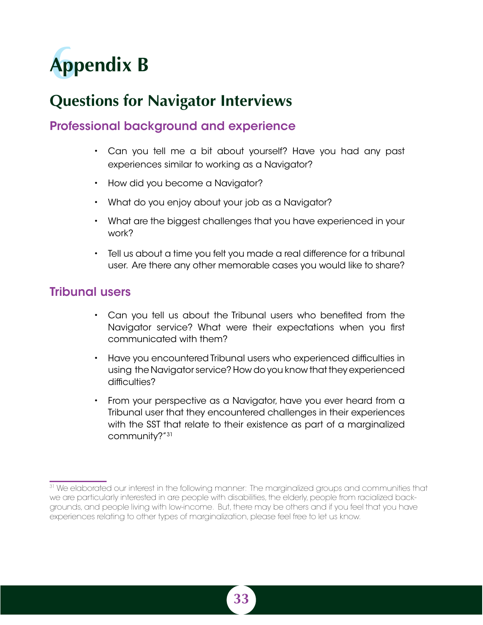<span id="page-40-0"></span>

## **Questions for Navigator Interviews**

## Professional background and experience

- Can you tell me a bit about yourself? Have you had any past experiences similar to working as a Navigator?
- How did you become a Navigator?
- What do you enjoy about your job as a Navigator?
- What are the biggest challenges that you have experienced in your work?
- Tell us about a time you felt you made a real difference for a tribunal user. Are there any other memorable cases you would like to share?

## Tribunal users

- Can you tell us about the Tribunal users who benefited from the Navigator service? What were their expectations when you first communicated with them?
- Have you encountered Tribunal users who experienced difficulties in using the Navigator service? How do you know that they experienced difficulties?
- From your perspective as a Navigator, have you ever heard from a Tribunal user that they encountered challenges in their experiences with the SST that relate to their existence as part of a marginalized community?"31

<sup>&</sup>lt;sup>31</sup> We elaborated our interest in the following manner: The marginalized groups and communities that we are particularly interested in are people with disabilities, the elderly, people from racialized backgrounds, and people living with low-income. But, there may be others and if you feel that you have experiences relating to other types of marginalization, please feel free to let us know.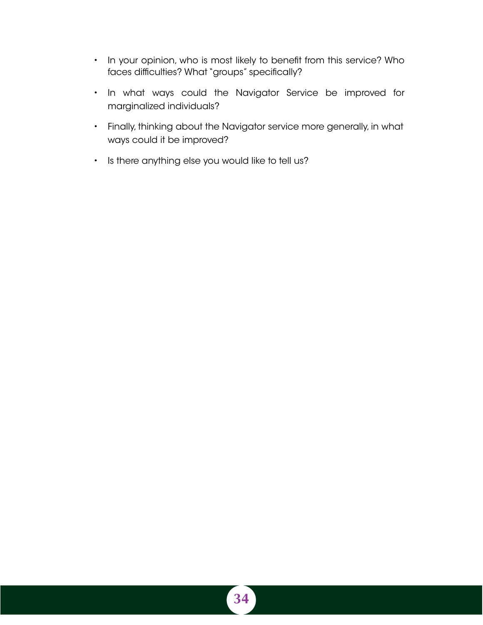- In your opinion, who is most likely to benefit from this service? Who faces difficulties? What "groups" specifically?
- In what ways could the Navigator Service be improved for marginalized individuals?
- Finally, thinking about the Navigator service more generally, in what ways could it be improved?
- Is there anything else you would like to tell us?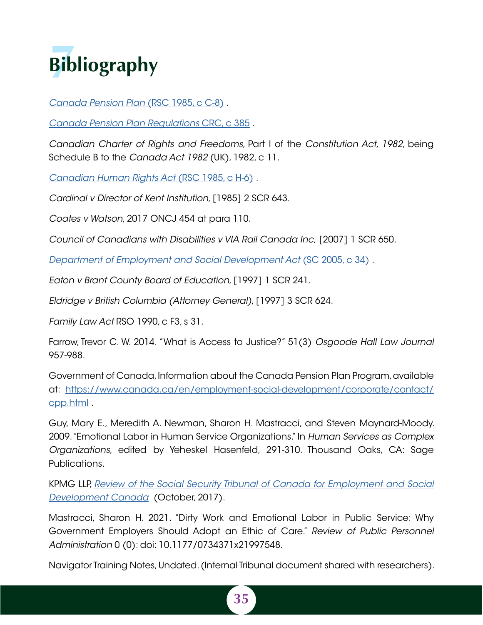<span id="page-42-0"></span>

*[Canada Pension Plan](https://laws-lois.justice.gc.ca/eng/acts/C-8/index.html)* (RSC 1985, c C-8) .

*[Canada Pension Plan Regulations](https://laws-lois.justice.gc.ca/eng/regulations/C.R.C.,_c._385/index.html)* CRC, c 385 .

*Canadian Charter of Rights and Freedoms,* Part I of the *Constitution Act, 1982*, being Schedule B to the *Canada Act 1982* (UK), 1982, c 11.

*[Canadian Human Rights Act](https://laws-lois.justice.gc.ca/eng/acts/H-6/)* (RSC 1985, c H-6) .

*Cardinal v Director of Kent Institution*, [1985] 2 SCR 643.

*Coates v Watson*, 2017 ONCJ 454 at para 110.

*Council of Canadians with Disabilities v VIA Rail Canada Inc*, [2007] 1 SCR 650.

*[Department of Employment and Social Development Act](http://Department of Employment and Social Development Act (SC 2005, c 34))* (SC 2005, c 34) .

*Eaton v Brant County Board of Education*, [1997] 1 SCR 241.

*Eldridge v British Columbia (Attorney General)*, [1997] 3 SCR 624.

*Family Law Act* RSO 1990, c F3, s 31.

Farrow, Trevor C. W. 2014. "What is Access to Justice?" 51(3) *Osgoode Hall Law Journal*  957-988.

Government of Canada, Information about the Canada Pension Plan Program, available at: [https://www.canada.ca/en/employment-social-development/corporate/contact/](https://www.canada.ca/en/employment-social-development/corporate/contact/cpp.html) [cpp.html](https://www.canada.ca/en/employment-social-development/corporate/contact/cpp.html) .

Guy, Mary E., Meredith A. Newman, Sharon H. Mastracci, and Steven Maynard-Moody. 2009. "Emotional Labor in Human Service Organizations." In *Human Services as Complex Organizations*, edited by Yeheskel Hasenfeld, 291-310. Thousand Oaks, CA: Sage Publications.

KPMG LLP, *[Review of the Social Security Tribunal of Canada for Employment and Social](https://www.canada.ca/content/dam/esdc-edsc/documents/corporate/reports/evaluations/social-security-tribunal-review/Review-of-the-SST-AF-EN.pdf) [Development Canada](https://www.canada.ca/content/dam/esdc-edsc/documents/corporate/reports/evaluations/social-security-tribunal-review/Review-of-the-SST-AF-EN.pdf)* (October, 2017).

Mastracci, Sharon H. 2021. "Dirty Work and Emotional Labor in Public Service: Why Government Employers Should Adopt an Ethic of Care." *Review of Public Personnel Administration* 0 (0): doi: 10.1177/0734371x21997548.

Navigator Training Notes, Undated. (Internal Tribunal document shared with researchers).